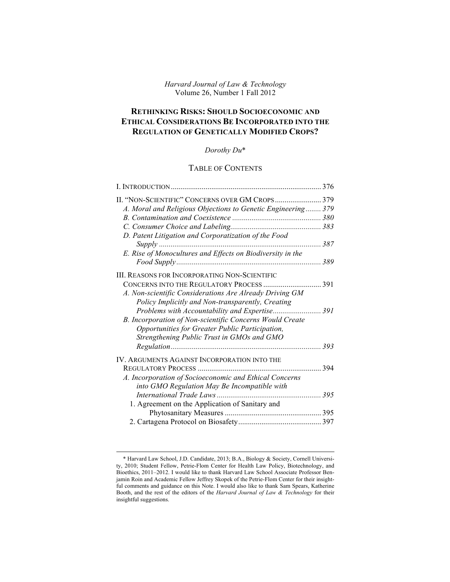## *Harvard Journal of Law & Technology* Volume 26, Number 1 Fall 2012

# **RETHINKING RISKS: SHOULD SOCIOECONOMIC AND ETHICAL CONSIDERATIONS BE INCORPORATED INTO THE REGULATION OF GENETICALLY MODIFIED CROPS?**

# *Dorothy Du*\*

# TABLE OF CONTENTS

| I. INTRODUCTION                                              | 376 |
|--------------------------------------------------------------|-----|
|                                                              |     |
| A. Moral and Religious Objections to Genetic Engineering 379 |     |
|                                                              |     |
|                                                              |     |
| D. Patent Litigation and Corporatization of the Food         |     |
|                                                              | 387 |
| E. Rise of Monocultures and Effects on Biodiversity in the   |     |
|                                                              | 389 |
| <b>III. REASONS FOR INCORPORATING NON-SCIENTIFIC</b>         |     |
|                                                              |     |
| CONCERNS INTO THE REGULATORY PROCESS                         | 391 |
| A. Non-scientific Considerations Are Already Driving GM      |     |
| Policy Implicitly and Non-transparently, Creating            |     |
|                                                              |     |
| B. Incorporation of Non-scientific Concerns Would Create     |     |
| Opportunities for Greater Public Participation,              |     |
| Strengthening Public Trust in GMOs and GMO                   |     |
|                                                              | 393 |
| IV. ARGUMENTS AGAINST INCORPORATION INTO THE                 |     |
|                                                              | 394 |
| A. Incorporation of Socioeconomic and Ethical Concerns       |     |
| into GMO Regulation May Be Incompatible with                 |     |
|                                                              | 395 |
| 1. Agreement on the Application of Sanitary and              |     |
|                                                              |     |
|                                                              |     |

 <sup>\*</sup> Harvard Law School, J.D. Candidate, 2013; B.A., Biology & Society, Cornell University, 2010; Student Fellow, Petrie-Flom Center for Health Law Policy, Biotechnology, and Bioethics, 2011–2012. I would like to thank Harvard Law School Associate Professor Benjamin Roin and Academic Fellow Jeffrey Skopek of the Petrie-Flom Center for their insightful comments and guidance on this Note. I would also like to thank Sam Spears, Katherine Booth, and the rest of the editors of the *Harvard Journal of Law & Technology* for their insightful suggestions.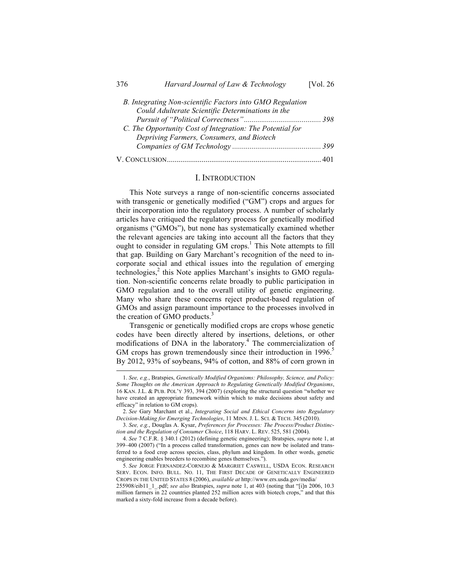| 376 | Harvard Journal of Law & Technology                       | [Vol. 26] |
|-----|-----------------------------------------------------------|-----------|
|     | B. Integrating Non-scientific Factors into GMO Regulation |           |
|     | Could Adulterate Scientific Determinations in the         |           |
|     |                                                           |           |
|     | C. The Opportunity Cost of Integration: The Potential for |           |
|     | Depriving Farmers, Consumers, and Biotech                 |           |
|     |                                                           |           |
|     |                                                           |           |

### I. INTRODUCTION

This Note surveys a range of non-scientific concerns associated with transgenic or genetically modified ("GM") crops and argues for their incorporation into the regulatory process. A number of scholarly articles have critiqued the regulatory process for genetically modified organisms ("GMOs"), but none has systematically examined whether the relevant agencies are taking into account all the factors that they ought to consider in regulating  $GM$  crops.<sup>1</sup> This Note attempts to fill that gap. Building on Gary Marchant's recognition of the need to incorporate social and ethical issues into the regulation of emerging technologies, $<sup>2</sup>$  this Note applies Marchant's insights to GMO regula-</sup> tion. Non-scientific concerns relate broadly to public participation in GMO regulation and to the overall utility of genetic engineering. Many who share these concerns reject product-based regulation of GMOs and assign paramount importance to the processes involved in the creation of GMO products.<sup>3</sup>

Transgenic or genetically modified crops are crops whose genetic codes have been directly altered by insertions, deletions, or other modifications of DNA in the laboratory.<sup>4</sup> The commercialization of GM crops has grown tremendously since their introduction in  $1996$ .<sup>5</sup> By 2012, 93% of soybeans, 94% of cotton, and 88% of corn grown in

 <sup>1.</sup> *See, e.g.*, Bratspies, *Genetically Modified Organisms: Philosophy, Science, and Policy: Some Thoughts on the American Approach to Regulating Genetically Modified Organisms*, 16 KAN. J.L. & PUB. POL'Y 393, 394 (2007) (exploring the structural question "whether we have created an appropriate framework within which to make decisions about safety and efficacy" in relation to GM crops).

<sup>2.</sup> *See* Gary Marchant et al., *Integrating Social and Ethical Concerns into Regulatory Decision-Making for Emerging Technologies*, 11 MINN. J. L. SCI. & TECH. 345 (2010).

<sup>3.</sup> *See, e.g.*, Douglas A. Kysar, *Preferences for Processes: The Process/Product Distinction and the Regulation of Consumer Choice*, 118 HARV. L. REV. 525, 581 (2004).

<sup>4.</sup> *See* 7 C.F.R. § 340.1 (2012) (defining genetic engineering); Bratspies, *supra* note 1, at 399–400 (2007) ("In a process called transformation, genes can now be isolated and transferred to a food crop across species, class, phylum and kingdom. In other words, genetic engineering enables breeders to recombine genes themselves.").

<sup>5.</sup> *See* JORGE FERNANDEZ-CORNEJO & MARGRIET CASWELL, USDA ECON. RESEARCH SERV. ECON. INFO. BULL. NO. 11, THE FIRST DECADE OF GENETICALLY ENGINEERED CROPS IN THE UNITED STATES 8 (2006), *available at* http://www.ers.usda.gov/media/

<sup>255908/</sup>eib11\_1\_.pdf; *see also* Bratspies, *supra* note 1, at 403 (noting that "[i]n 2006, 10.3 million farmers in 22 countries planted 252 million acres with biotech crops," and that this marked a sixty-fold increase from a decade before).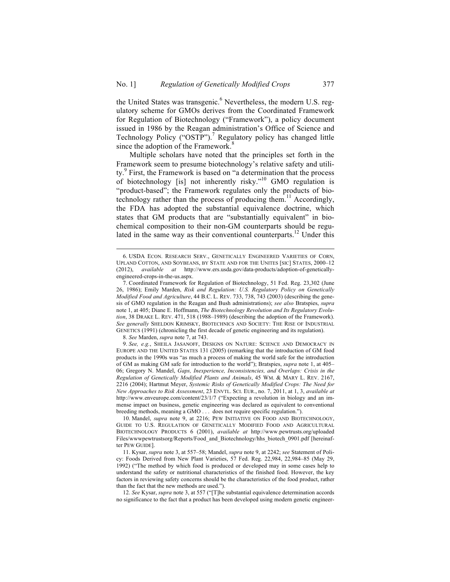the United States was transgenic.<sup>6</sup> Nevertheless, the modern U.S. regulatory scheme for GMOs derives from the Coordinated Framework for Regulation of Biotechnology ("Framework"), a policy document issued in 1986 by the Reagan administration's Office of Science and Technology Policy ("OSTP").<sup>7</sup> Regulatory policy has changed little since the adoption of the Framework. $8$ 

Multiple scholars have noted that the principles set forth in the Framework seem to presume biotechnology's relative safety and utility.<sup>9</sup> First, the Framework is based on "a determination that the process of biotechnology [is] not inherently risky."<sup>10</sup> GMO regulation is "product-based"; the Framework regulates only the products of biotechnology rather than the process of producing them.<sup>11</sup> Accordingly, the FDA has adopted the substantial equivalence doctrine, which states that GM products that are "substantially equivalent" in biochemical composition to their non-GM counterparts should be regulated in the same way as their conventional counterparts.<sup>12</sup> Under this

 <sup>6.</sup> USDA ECON. RESEARCH SERV., GENETICALLY ENGINEERED VARIETIES OF CORN, UPLAND COTTON, AND SOYBEANS, BY STATE AND FOR THE UNITES [SIC] STATES, 2000–12 (2012), *available at* http://www.ers.usda.gov/data-products/adoption-of-geneticallyengineered-crops-in-the-us.aspx.

<sup>7.</sup> Coordinated Framework for Regulation of Biotechnology, 51 Fed. Reg. 23,302 (June 26, 1986); Emily Marden, *Risk and Regulation: U.S. Regulatory Policy on Genetically Modified Food and Agriculture*, 44 B.C. L. REV. 733, 738, 743 (2003) (describing the genesis of GMO regulation in the Reagan and Bush administrations); *see also* Bratspies, *supra*  note 1, at 405; Diane E. Hoffmann, *The Biotechnology Revolution and Its Regulatory Evolution*, 38 DRAKE L. REV. 471, 518 (1988–1989) (describing the adoption of the Framework). *See generally* SHELDON KRIMSKY, BIOTECHNICS AND SOCIETY: THE RISE OF INDUSTRIAL GENETICS (1991) (chronicling the first decade of genetic engineering and its regulation).

<sup>8.</sup> *See* Marden, *supra* note 7, at 743.

<sup>9.</sup> *See, e.g.*, SHEILA JASANOFF, DESIGNS ON NATURE: SCIENCE AND DEMOCRACY IN EUROPE AND THE UNITED STATES 131 (2005) (remarking that the introduction of GM food products in the 1990s was "as much a process of making the world safe for the introduction of GM as making GM safe for introduction to the world"); Bratspies, *supra* note 1, at 405– 06; Gregory N. Mandel, *Gaps, Inexperience, Inconsistencies, and Overlaps: Crisis in the Regulation of Genetically Modified Plants and Animals*, 45 WM. & MARY L. REV. 2167, 2216 (2004); Hartmut Meyer, *Systemic Risks of Genetically Modified Crops: The Need for New Approaches to Risk Assessment*, 23 ENVTL. SCI. EUR., no. 7, 2011, at 1, 3, *available at*  http://www.enveurope.com/content/23/1/7 ("Expecting a revolution in biology and an immense impact on business, genetic engineering was declared as equivalent to conventional breeding methods, meaning a GMO . . . does not require specific regulation.").

<sup>10.</sup> Mandel, *supra* note 9, at 2216; PEW INITIATIVE ON FOOD AND BIOTECHNOLOGY, GUIDE TO U.S. REGULATION OF GENETICALLY MODIFIED FOOD AND AGRICULTURAL BIOTECHNOLOGY PRODUCTS 6 (2001), *available at* http://www.pewtrusts.org/uploaded Files/wwwpewtrustsorg/Reports/Food\_and\_Biotechnology/hhs\_biotech\_0901.pdf [hereinafter PEW GUIDE].

<sup>11.</sup> Kysar, *supra* note 3, at 557–58; Mandel, *supra* note 9, at 2242; *see* Statement of Policy: Foods Derived from New Plant Varieties, 57 Fed. Reg. 22,984, 22,984–85 (May 29, 1992) ("The method by which food is produced or developed may in some cases help to understand the safety or nutritional characteristics of the finished food. However, the key factors in reviewing safety concerns should be the characteristics of the food product, rather than the fact that the new methods are used.").

<sup>12.</sup> *See* Kysar, *supra* note 3, at 557 ("[T]he substantial equivalence determination accords no significance to the fact that a product has been developed using modern genetic engineer-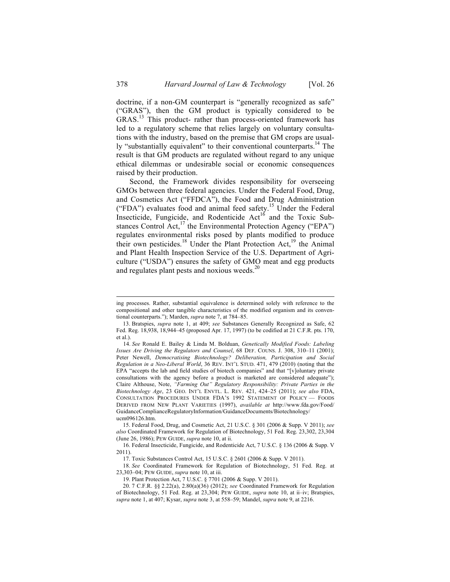doctrine, if a non-GM counterpart is "generally recognized as safe" ("GRAS"), then the GM product is typically considered to be GRAS.<sup>13</sup> This product- rather than process-oriented framework has led to a regulatory scheme that relies largely on voluntary consultations with the industry, based on the premise that GM crops are usually "substantially equivalent" to their conventional counterparts.<sup>14</sup> The result is that GM products are regulated without regard to any unique ethical dilemmas or undesirable social or economic consequences raised by their production.

Second, the Framework divides responsibility for overseeing GMOs between three federal agencies. Under the Federal Food, Drug, and Cosmetics Act ("FFDCA"), the Food and Drug Administration ("FDA") evaluates food and animal feed safety.<sup>15</sup> Under the Federal Insecticide, Fungicide, and Rodenticide  $Act^{16}$  and the Toxic Substances Control Act, $^{17}$  the Environmental Protection Agency ("EPA") regulates environmental risks posed by plants modified to produce their own pesticides.<sup>18</sup> Under the Plant Protection Act,<sup>19</sup> the Animal and Plant Health Inspection Service of the U.S. Department of Agriculture ("USDA") ensures the safety of GMO meat and egg products and regulates plant pests and noxious weeds.<sup>20</sup>

ing processes. Rather, substantial equivalence is determined solely with reference to the compositional and other tangible characteristics of the modified organism and its conventional counterparts."); Marden, *supra* note 7, at 784–85.

<sup>13.</sup> Bratspies, *supra* note 1, at 409; *see* Substances Generally Recognized as Safe, 62 Fed. Reg. 18,938, 18,944–45 (proposed Apr. 17, 1997) (to be codified at 21 C.F.R. pts. 170, et al.).

<sup>14.</sup> *See* Ronald E. Bailey & Linda M. Bolduan, *Genetically Modified Foods: Labeling Issues Are Driving the Regulators and Counsel*, 68 DEF. COUNS. J. 308, 310–11 (2001); Peter Newell, *Democratising Biotechnology? Deliberation, Participation and Social Regulation in a Neo-Liberal World*, 36 REV. INT'L STUD. 471, 479 (2010) (noting that the EPA "accepts the lab and field studies of biotech companies" and that "[v]oluntary private consultations with the agency before a product is marketed are considered adequate"); Claire Althouse, Note, *"Farming Out" Regulatory Responsibility: Private Parties in the Biotechnology Age*, 23 GEO. INT'L ENVTL. L. REV. 421, 424–25 (2011); *see also* FDA, CONSULTATION PROCEDURES UNDER FDA'S 1992 STATEMENT OF POLICY — FOODS DERIVED FROM NEW PLANT VARIETIES (1997), *available at* http://www.fda.gov/Food/ GuidanceComplianceRegulatoryInformation/GuidanceDocuments/Biotechnology/ ucm096126.htm.

<sup>15.</sup> Federal Food, Drug, and Cosmetic Act, 21 U.S.C. § 301 (2006 & Supp. V 2011); *see also* Coordinated Framework for Regulation of Biotechnology, 51 Fed. Reg. 23,302, 23,304 (June 26, 1986); PEW GUIDE, *supra* note 10, at ii.

<sup>16.</sup> Federal Insecticide, Fungicide, and Rodenticide Act, 7 U.S.C. § 136 (2006 & Supp. V 2011).

<sup>17.</sup> Toxic Substances Control Act, 15 U.S.C. § 2601 (2006 & Supp. V 2011).

<sup>18.</sup> *See* Coordinated Framework for Regulation of Biotechnology, 51 Fed. Reg. at 23,303–04; PEW GUIDE, *supra* note 10, at iii.

<sup>19.</sup> Plant Protection Act, 7 U.S.C. § 7701 (2006 & Supp. V 2011).

<sup>20.</sup> 7 C.F.R. §§ 2.22(a), 2.80(a)(36) (2012); *see* Coordinated Framework for Regulation of Biotechnology, 51 Fed. Reg. at 23,304; PEW GUIDE, *supra* note 10, at ii–iv; Bratspies, *supra* note 1, at 407; Kysar, *supra* note 3, at 558–59; Mandel, *supra* note 9, at 2216.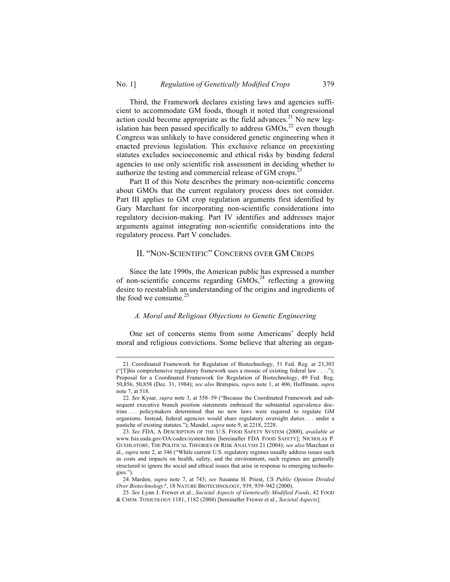Third, the Framework declares existing laws and agencies sufficient to accommodate GM foods, though it noted that congressional action could become appropriate as the field advances.<sup>21</sup> No new legislation has been passed specifically to address  $GMOs$ <sup>22</sup> even though Congress was unlikely to have considered genetic engineering when it enacted previous legislation. This exclusive reliance on preexisting statutes excludes socioeconomic and ethical risks by binding federal agencies to use only scientific risk assessment in deciding whether to authorize the testing and commercial release of GM crops.<sup>23</sup>

Part II of this Note describes the primary non-scientific concerns about GMOs that the current regulatory process does not consider. Part III applies to GM crop regulation arguments first identified by Gary Marchant for incorporating non-scientific considerations into regulatory decision-making. Part IV identifies and addresses major arguments against integrating non-scientific considerations into the regulatory process. Part V concludes.

## II. "NON-SCIENTIFIC" CONCERNS OVER GM CROPS

Since the late 1990s, the American public has expressed a number of non-scientific concerns regarding  $\overline{GMOs}^{24}$  reflecting a growing desire to reestablish an understanding of the origins and ingredients of the food we consume. $25$ 

### *A. Moral and Religious Objections to Genetic Engineering*

One set of concerns stems from some Americans' deeply held moral and religious convictions. Some believe that altering an organ-

 <sup>21.</sup> Coordinated Framework for Regulation of Biotechnology, 51 Fed. Reg. at 23,303 ("[T]his comprehensive regulatory framework uses a mosaic of existing federal law . . . ."); Proposal for a Coordinated Framework for Regulation of Biotechnology, 49 Fed. Reg. 50,856, 50,858 (Dec. 31, 1984); *see also* Bratspies, *supra* note 1, at 406; Hoffmann, *supra* note 7, at 518.

<sup>22.</sup> *See* Kysar, *supra* note 3, at 558–59 ("Because the Coordinated Framework and subsequent executive branch position statements embraced the substantial equivalence doctrine . . . policymakers determined that no new laws were required to regulate GM organisms. Instead, federal agencies would share regulatory oversight duties . . . under a pastiche of existing statutes."); Mandel, *supra* note 9, at 2218, 2228.

<sup>23.</sup> *See* FDA, A DESCRIPTION OF THE U.S. FOOD SAFETY SYSTEM (2000), *available at* www.fsis.usda.gov/OA/codex/system.htm [hereinafter FDA FOOD SAFETY]; NICHOLAS P. GUEHLSTORF, THE POLITICAL THEORIES OF RISK ANALYSIS 21 (2004); *see also* Marchant et al., *supra* note 2, at 346 ("While current U.S. regulatory regimes usually address issues such as costs and impacts on health, safety, and the environment, such regimes are generally structured to ignore the social and ethical issues that arise in response to emerging technologies.").

<sup>24.</sup> Marden, *supra* note 7, at 743; *see* Susanna H. Priest, *US Public Opinion Divided Over Biotechnology?*, 18 NATURE BIOTECHNOLOGY, 939, 939–942 (2000).

<sup>25.</sup> *See* Lynn J. Frewer et al., *Societal Aspects of Genetically Modified Foods*, 42 FOOD & CHEM. TOXICOLOGY 1181, 1182 (2004) [hereinafter Frewer et al., *Societal Aspects*].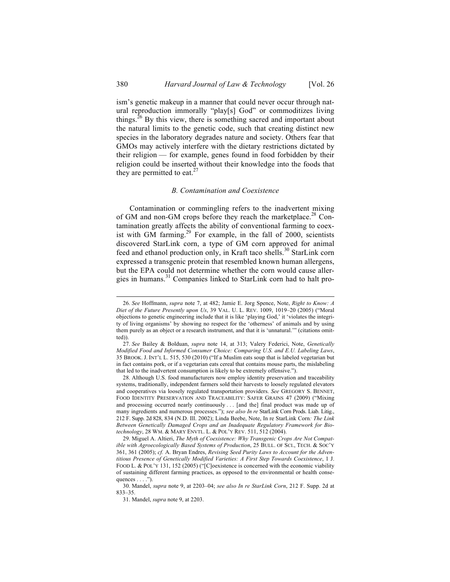ism's genetic makeup in a manner that could never occur through natural reproduction immorally "play[s] God" or commoditizes living things.<sup>26</sup> By this view, there is something sacred and important about the natural limits to the genetic code, such that creating distinct new species in the laboratory degrades nature and society. Others fear that GMOs may actively interfere with the dietary restrictions dictated by their religion — for example, genes found in food forbidden by their religion could be inserted without their knowledge into the foods that they are permitted to eat.<sup>27</sup>

### *B. Contamination and Coexistence*

Contamination or commingling refers to the inadvertent mixing of GM and non-GM crops before they reach the marketplace.<sup>28</sup> Contamination greatly affects the ability of conventional farming to coexist with GM farming.<sup>29</sup> For example, in the fall of 2000, scientists discovered StarLink corn, a type of GM corn approved for animal feed and ethanol production only, in Kraft taco shells.<sup>30</sup> StarLink corn expressed a transgenic protein that resembled known human allergens, but the EPA could not determine whether the corn would cause allergies in humans.<sup>31</sup> Companies linked to StarLink corn had to halt pro-

 <sup>26.</sup> *See* Hoffmann, *supra* note 7, at 482; Jamie E. Jorg Spence, Note, *Right to Know: A Diet of the Future Presently upon Us*, 39 VAL. U. L. REV. 1009, 1019–20 (2005) ("Moral objections to genetic engineering include that it is like 'playing God,' it 'violates the integrity of living organisms' by showing no respect for the 'otherness' of animals and by using them purely as an object or a research instrument, and that it is 'unnatural.'" (citations omitted)).

<sup>27.</sup> *See* Bailey & Bolduan, *supra* note 14, at 313; Valery Federici, Note, *Genetically Modified Food and Informed Consumer Choice: Comparing U.S. and E.U. Labeling Laws*, 35 BROOK. J. INT'L L. 515, 530 (2010) ("If a Muslim eats soup that is labeled vegetarian but in fact contains pork, or if a vegetarian eats cereal that contains mouse parts, the mislabeling that led to the inadvertent consumption is likely to be extremely offensive.").

<sup>28.</sup> Although U.S. food manufacturers now employ identity preservation and traceability systems, traditionally, independent farmers sold their harvests to loosely regulated elevators and cooperatives via loosely regulated transportation providers. *See* GREGORY S. BENNET, FOOD IDENTITY PRESERVATION AND TRACEABILITY: SAFER GRAINS 47 (2009) ("Mixing and processing occurred nearly continuously . . . [and the] final product was made up of many ingredients and numerous processes."); *see also In re* StarLink Corn Prods. Liab. Litig., 212 F. Supp. 2d 828, 834 (N.D. Ill. 2002); Linda Beebe, Note, In re StarLink Corn*: The Link Between Genetically Damaged Crops and an Inadequate Regulatory Framework for Biotechnology*, 28 WM. & MARY ENVTL. L. & POL'Y REV. 511, 512 (2004).

<sup>29.</sup> Miguel A. Altieri, *The Myth of Coexistence: Why Transgenic Crops Are Not Compatible with Agroecologically Based Systems of Production*, 25 BULL. OF SCI., TECH. & SOC'Y 361, 361 (2005); *cf.* A. Bryan Endres, *Revising Seed Purity Laws to Account for the Adventitious Presence of Genetically Modified Varieties: A First Step Towards Coexistence*, 1 J. FOOD L. & POL'Y 131, 152 (2005) ("[C]oexistence is concerned with the economic viability of sustaining different farming practices, as opposed to the environmental or health consequences  $\dots$ .").

<sup>30.</sup> Mandel, *supra* note 9, at 2203–04; *see also In re StarLink Corn*, 212 F. Supp. 2d at 833–35.

<sup>31.</sup> Mandel, *supra* note 9, at 2203.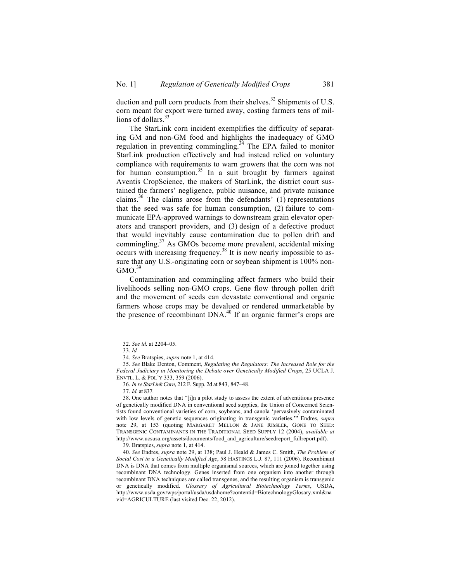duction and pull corn products from their shelves.<sup>32</sup> Shipments of U.S. corn meant for export were turned away, costing farmers tens of millions of dollars. $33$ 

The StarLink corn incident exemplifies the difficulty of separating GM and non-GM food and highlights the inadequacy of GMO regulation in preventing commingling.<sup>34</sup> The EPA failed to monitor StarLink production effectively and had instead relied on voluntary compliance with requirements to warn growers that the corn was not for human consumption.<sup>35</sup> In a suit brought by farmers against Aventis CropScience, the makers of StarLink, the district court sustained the farmers' negligence, public nuisance, and private nuisance claims.<sup>36</sup> The claims arose from the defendants'  $(1)$  representations that the seed was safe for human consumption, (2) failure to communicate EPA-approved warnings to downstream grain elevator operators and transport providers, and (3) design of a defective product that would inevitably cause contamination due to pollen drift and commingling.<sup>37</sup> As GMOs become more prevalent, accidental mixing occurs with increasing frequency. <sup>38</sup> It is now nearly impossible to assure that any U.S.-originating corn or soybean shipment is 100% non- $GMO^{39}$ 

Contamination and commingling affect farmers who build their livelihoods selling non-GMO crops. Gene flow through pollen drift and the movement of seeds can devastate conventional and organic farmers whose crops may be devalued or rendered unmarketable by the presence of recombinant DNA.<sup>40</sup> If an organic farmer's crops are

 <sup>32.</sup> *See id.* at 2204–05.

<sup>33.</sup> *Id.*

<sup>34.</sup> *See* Bratspies, *supra* note 1, at 414.

<sup>35.</sup> *See* Blake Denton, Comment, *Regulating the Regulators: The Increased Role for the Federal Judiciary in Monitoring the Debate over Genetically Modified Crops*, 25 UCLA J. ENVTL. L. & POL'Y 333, 359 (2006).

<sup>36.</sup> *In re StarLink Corn*, 212 F. Supp. 2d at 843, 847–48.

<sup>37.</sup> *Id.* at 837.

<sup>38.</sup> One author notes that "[i]n a pilot study to assess the extent of adventitious presence of genetically modified DNA in conventional seed supplies, the Union of Concerned Scientists found conventional varieties of corn, soybeans, and canola 'pervasively contaminated with low levels of genetic sequences originating in transgenic varieties.'" Endres, *supra* note 29, at 153 (quoting MARGARET MELLON & JANE RISSLER, GONE TO SEED: TRANSGENIC CONTAMINANTS IN THE TRADITIONAL SEED SUPPLY 12 (2004), *available at* http://www.ucsusa.org/assets/documents/food\_and\_agriculture/seedreport\_fullreport.pdf).

<sup>39.</sup> Bratspies, *supra* note 1, at 414.

<sup>40.</sup> *See* Endres, *supra* note 29, at 138; Paul J. Heald & James C. Smith, *The Problem of Social Cost in a Genetically Modified Age*, 58 HASTINGS L.J. 87, 111 (2006). Recombinant DNA is DNA that comes from multiple organismal sources, which are joined together using recombinant DNA technology. Genes inserted from one organism into another through recombinant DNA techniques are called transgenes, and the resulting organism is transgenic or genetically modified. *Glossary of Agricultural Biotechnology Terms*, USDA, http://www.usda.gov/wps/portal/usda/usdahome?contentid=BiotechnologyGlosary.xml&na vid=AGRICULTURE (last visited Dec. 22, 2012).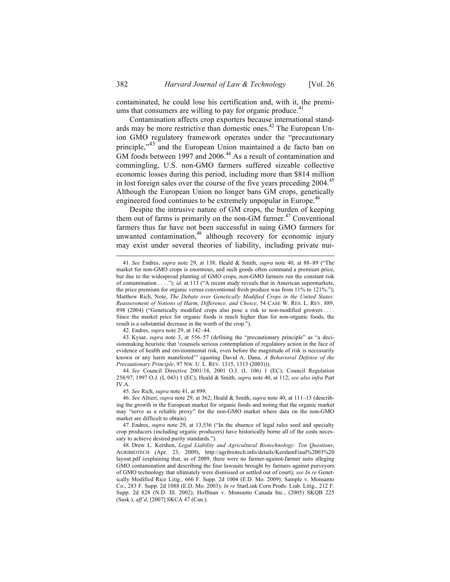contaminated, he could lose his certification and, with it, the premiums that consumers are willing to pay for organic produce. $41$ 

Contamination affects crop exporters because international standards may be more restrictive than domestic ones.<sup>42</sup> The European Union GMO regulatory framework operates under the "precautionary principle,<sup>343</sup> and the European Union maintained a de facto ban on GM foods between 1997 and 2006.<sup>44</sup> As a result of contamination and commingling, U.S. non-GMO farmers suffered sizeable collective economic losses during this period, including more than \$814 million in lost foreign sales over the course of the five years preceding 2004.<sup>45</sup> Although the European Union no longer bans GM crops, genetically engineered food continues to be extremely unpopular in Europe.<sup>46</sup>

Despite the intrusive nature of GM crops, the burden of keeping them out of farms is primarily on the non-GM farmer.<sup>47</sup> Conventional farmers thus far have not been successful in suing GMO farmers for unwanted contamination,<sup>48</sup> although recovery for economic injury may exist under several theories of liability, including private nui-

42. Endres, *supra* note 29, at 142–44.

 <sup>41.</sup> *See* Endres, *supra* note 29, at 138; Heald & Smith, *supra* note 40, at 88–89 ("The market for non-GMO crops is enormous, and such goods often command a premium price, but due to the widespread planting of GMO crops, non-GMO farmers run the constant risk of contamination . . . ."); *id*. at 113 ("A recent study reveals that in American supermarkets, the price premium for organic versus conventional fresh produce was from 11% to 121%."); Matthew Rich, Note, *The Debate over Genetically Modified Crops in the United States: Reassessment of Notions of Harm, Difference, and Choice*, 54 CASE W. RES. L. REV. 889, 898 (2004) ("Genetically modified crops also pose a risk to non-modified growers . Since the market price for organic foods is much higher than for non-organic foods, the result is a substantial decrease in the worth of the crop.").

<sup>43.</sup> Kysar, *supra* note 3, at 556–57 (defining the "precautionary principle" as "a decisionmaking heuristic that 'counsels serious contemplation of regulatory action in the face of evidence of health and environmental risk, even before the magnitude of risk is necessarily known or any harm manifested'" (quoting David A. Dana, *A Behavioral Defense of the Precautionary Principle*, 97 NW. U. L. REV. 1315, 1315 (2003))).

<sup>44.</sup> *See* Council Directive 2001/18, 2001 O.J. (L 106) 1 (EC); Council Regulation 258/97, 1997 O.J. (L 043) 1 (EC); Heald & Smith, *supra* note 40, at 112; *see also infra* Part IV.A.

<sup>45.</sup> *See* Rich, *supra* note 41, at 899.

<sup>46.</sup> *See* Altieri, *supra* note 29, at 362; Heald & Smith, *supra* note 40, at 111–13 (describing the growth in the European market for organic foods and noting that the organic market may "serve as a reliable proxy" for the non-GMO market where data on the non-GMO market are difficult to obtain).

<sup>47.</sup> Endres, *supra* note 29, at 13,536 ("In the absence of legal rules seed and specialty crop producers (including organic producers) have historically borne all of the costs necessary to achieve desired purity standards.").

<sup>48.</sup> Drew L. Kershen, *Legal Liability and Agricultural Biotechnology: Ten Questions*, AGRIBIOTECH (Apr. 23, 2009), http://agribiotech.info/details/KershenFinal%2003%20 layout.pdf (explaining that, as of 2009, there were no farmer-against-farmer suits alleging GMO contamination and describing the four lawsuits brought by farmers against purveyors of GMO technology that ultimately were dismissed or settled out of court); *see In re* Genetically Modified Rice Litig., 666 F. Supp. 2d 1004 (E.D. Mo. 2009); Sample v. Monsanto Co., 283 F. Supp. 2d 1088 (E.D. Mo. 2003); *In re* StarLink Corn Prods. Liab. Litig., 212 F. Supp. 2d 828 (N.D. Ill. 2002); Hoffman v. Monsanto Canada Inc., (2005) SKQB 225 (Sask.), *aff'd*, [2007] SKCA 47 (Can.).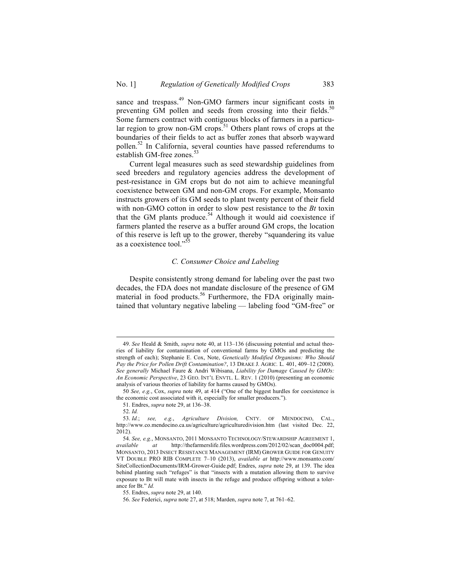sance and trespass.<sup>49</sup> Non-GMO farmers incur significant costs in preventing GM pollen and seeds from crossing into their fields.<sup>50</sup> Some farmers contract with contiguous blocks of farmers in a particular region to grow non-GM crops.<sup>51</sup> Others plant rows of crops at the boundaries of their fields to act as buffer zones that absorb wayward pollen.<sup>52</sup> In California, several counties have passed referendums to establish GM-free zones.<sup>53</sup>

Current legal measures such as seed stewardship guidelines from seed breeders and regulatory agencies address the development of pest-resistance in GM crops but do not aim to achieve meaningful coexistence between GM and non-GM crops. For example, Monsanto instructs growers of its GM seeds to plant twenty percent of their field with non-GMO cotton in order to slow pest resistance to the *Bt* toxin that the GM plants produce.<sup>54</sup> Although it would aid coexistence if farmers planted the reserve as a buffer around GM crops, the location of this reserve is left up to the grower, thereby "squandering its value as a coexistence tool."<sup>5</sup>

### *C. Consumer Choice and Labeling*

Despite consistently strong demand for labeling over the past two decades, the FDA does not mandate disclosure of the presence of GM material in food products.<sup>56</sup> Furthermore, the FDA originally maintained that voluntary negative labeling — labeling food "GM-free" or

 <sup>49.</sup> *See* Heald & Smith, *supra* note 40, at 113–136 (discussing potential and actual theories of liability for contamination of conventional farms by GMOs and predicting the strength of each); Stephanie E. Cox, Note, *Genetically Modified Organisms: Who Should Pay the Price for Pollen Drift Contamination?*, 13 DRAKE J. AGRIC*.* L*.* 401, 409–12 (2008). *See generally* Michael Faure & Andri Wibisana, *Liability for Damage Caused by GMOs: An Economic Perspective*, 23 GEO. INT'L ENVTL. L. REV. 1 (2010) (presenting an economic analysis of various theories of liability for harms caused by GMOs).

<sup>50</sup> *See, e.g.*, Cox, *supra* note 49, at 414 ("One of the biggest hurdles for coexistence is the economic cost associated with it, especially for smaller producers.").

<sup>51.</sup> Endres, *supra* note 29, at 136–38.

<sup>52.</sup> *Id.*

<sup>53.</sup> *Id.*; *see, e.g.*, *Agriculture Division,* CNTY. OF MENDOCINO, CAL., http://www.co.mendocino.ca.us/agriculture/agriculturedivision.htm (last visited Dec. 22, 2012).

<sup>54.</sup> *See, e.g.*, MONSANTO, 2011 MONSANTO TECHNOLOGY/STEWARDSHIP AGREEMENT 1, *available at* http://thefarmerslife.files.wordpress.com/2012/02/scan\_doc0004.pdf; MONSANTO, 2013 INSECT RESISTANCE MANAGEMENT (IRM) GROWER GUIDE FOR GENUITY VT DOUBLE PRO RIB COMPLETE 7–10 (2013), *available at* http://www.monsanto.com/ SiteCollectionDocuments/IRM-Grower-Guide.pdf; Endres, *supra* note 29, at 139. The idea behind planting such "refuges" is that "insects with a mutation allowing them to survive exposure to Bt will mate with insects in the refuge and produce offspring without a tolerance for Bt." *Id.*

<sup>55.</sup> Endres, *supra* note 29, at 140.

<sup>56.</sup> *See* Federici, *supra* note 27, at 518; Marden, *supra* note 7, at 761–62.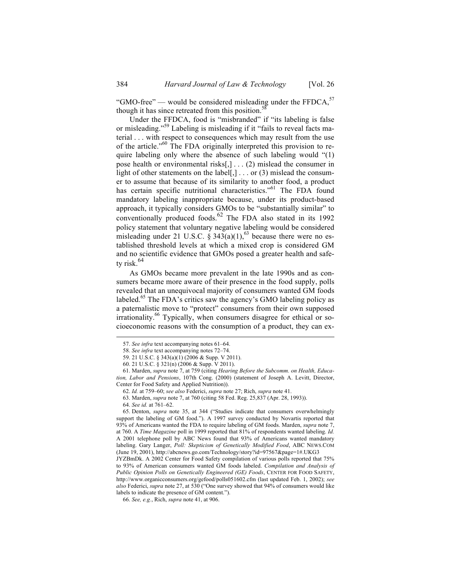"GMO-free" — would be considered misleading under the  $FFDCA$ ,  $57$ though it has since retreated from this position.<sup>58</sup>

Under the FFDCA, food is "misbranded" if "its labeling is false or misleading."<sup>59</sup> Labeling is misleading if it "fails to reveal facts material . . . with respect to consequences which may result from the use of the article."<sup>60</sup> The FDA originally interpreted this provision to require labeling only where the absence of such labeling would "(1) pose health or environmental risks[,] . . . (2) mislead the consumer in light of other statements on the label[,]  $\ldots$  or (3) mislead the consumer to assume that because of its similarity to another food, a product has certain specific nutritional characteristics."<sup>61</sup> The FDA found mandatory labeling inappropriate because, under its product-based approach, it typically considers GMOs to be "substantially similar" to conventionally produced foods. $62$  The FDA also stated in its 1992 policy statement that voluntary negative labeling would be considered misleading under 21 U.S.C.  $\hat{\S}$  343(a)(1),<sup>63</sup> because there were no established threshold levels at which a mixed crop is considered GM and no scientific evidence that GMOs posed a greater health and safety risk. $64$ 

As GMOs became more prevalent in the late 1990s and as consumers became more aware of their presence in the food supply, polls revealed that an unequivocal majority of consumers wanted GM foods labeled.<sup>65</sup> The FDA's critics saw the agency's GMO labeling policy as a paternalistic move to "protect" consumers from their own supposed irrationality.<sup>66</sup> Typically, when consumers disagree for ethical or socioeconomic reasons with the consumption of a product, they can ex-

 <sup>57.</sup> *See infra* text accompanying notes 61–64.

<sup>58.</sup> *See infra* text accompanying notes 72–74.

<sup>59.</sup> 21 U.S.C. § 343(a)(1) (2006 & Supp. V 2011).

<sup>60.</sup> 21 U.S.C. § 321(n) (2006 & Supp. V 2011).

<sup>61.</sup> Marden, *supra* note 7, at 759 (citing *Hearing Before the Subcomm. on Health, Education, Labor and Pensions*, 107th Cong. (2000) (statement of Joseph A. Levitt, Director, Center for Food Safety and Applied Nutrition)).

<sup>62.</sup> *Id.* at 759–60; *see also* Federici, *supra* note 27; Rich, *supra* note 41.

<sup>63.</sup> Marden, *supra* note 7, at 760 (citing 58 Fed. Reg. 25,837 (Apr. 28, 1993)).

<sup>64.</sup> *See id.* at 761–62.

<sup>65.</sup> Denton, *supra* note 35, at 344 ("Studies indicate that consumers overwhelmingly support the labeling of GM food."). A 1997 survey conducted by Novartis reported that 93% of Americans wanted the FDA to require labeling of GM foods. Marden, *supra* note 7, at 760. A *Time Magazine* poll in 1999 reported that 81% of respondents wanted labeling. *Id.* A 2001 telephone poll by ABC News found that 93% of Americans wanted mandatory labeling. Gary Langer, *Poll: Skepticism of Genetically Modified Food*, ABC NEWS.COM (June 19, 2001), http://abcnews.go.com/Technology/story?id=97567&page=1#.UKG3

JYZBmDk. A 2002 Center for Food Safety compilation of various polls reported that 75% to 93% of American consumers wanted GM foods labeled. *Compilation and Analysis of Public Opinion Polls on Genetically Engineered (GE) Foods*, CENTER FOR FOOD SAFETY, http://www.organicconsumers.org/gefood/polls051602.cfm (last updated Feb. 1, 2002); *see also* Federici, *supra* note 27, at 530 ("One survey showed that 94% of consumers would like labels to indicate the presence of GM content.").

<sup>66.</sup> *See, e.g.*, Rich, *supra* note 41, at 906.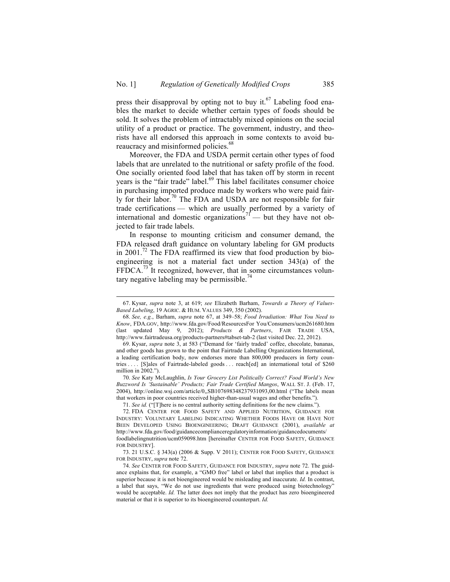press their disapproval by opting not to buy it.<sup>67</sup> Labeling food enables the market to decide whether certain types of foods should be sold. It solves the problem of intractably mixed opinions on the social utility of a product or practice. The government, industry, and theorists have all endorsed this approach in some contexts to avoid bureaucracy and misinformed policies.<sup>68</sup>

Moreover, the FDA and USDA permit certain other types of food labels that are unrelated to the nutritional or safety profile of the food. One socially oriented food label that has taken off by storm in recent years is the "fair trade" label.<sup>69</sup> This label facilitates consumer choice in purchasing imported produce made by workers who were paid fairly for their labor.<sup>70</sup> The FDA and USDA are not responsible for fair trade certifications — which are usually performed by a variety of international and domestic organizations<sup>71</sup> — but they have not objected to fair trade labels.

In response to mounting criticism and consumer demand, the FDA released draft guidance on voluntary labeling for GM products in  $2001$ .<sup>72</sup> The FDA reaffirmed its view that food production by bioengineering is not a material fact under section 343(a) of the  $FFDCA.<sup>73</sup>$  It recognized, however, that in some circumstances voluntary negative labeling may be permissible.<sup>74</sup>

 <sup>67.</sup> Kysar, *supra* note 3, at 619; *see* Elizabeth Barham, *Towards a Theory of Values-Based Labeling*, 19 AGRIC. & HUM. VALUES 349, 350 (2002).

<sup>68.</sup> *See, e.g.*, Barham, *supra* note 67, at 349–58; *Food Irradiation: What You Need to Know*, FDA.GOV, http://www.fda.gov/Food/ResourcesFor You/Consumers/ucm261680.htm (last updated May 9, 2012); *Products & Partners*, FAIR TRADE USA, http://www.fairtradeusa.org/products-partners#tabset-tab-2 (last visited Dec. 22, 2012).

<sup>69.</sup> Kysar, *supra* note 3, at 583 ("Demand for 'fairly traded' coffee, chocolate, bananas, and other goods has grown to the point that Fairtrade Labelling Organizations International, a leading certification body, now endorses more than 800,000 producers in forty countries . . . . [S]ales of Fairtrade-labeled goods . . . reach[ed] an international total of \$260 million in 2002.").

<sup>70.</sup> *See* Katy McLaughlin, *Is Your Grocery List Politically Correct? Food World's New Buzzword Is 'Sustainable' Products; Fair Trade Certified Mangos*, WALL ST. J. (Feb. 17, 2004), http://online.wsj.com/article/0,,SB107698348237931093,00.html ("The labels mean that workers in poor countries received higher-than-usual wages and other benefits.").

<sup>71.</sup> *See id.* ("[T]here is no central authority setting definitions for the new claims.").

<sup>72.</sup> FDA CENTER FOR FOOD SAFETY AND APPLIED NUTRITION, GUIDANCE FOR INDUSTRY: VOLUNTARY LABELING INDICATING WHETHER FOODS HAVE OR HAVE NOT BEEN DEVELOPED USING BIOENGINEERING; DRAFT GUIDANCE (2001), *available at* http://www.fda.gov/food/guidancecomplianceregulatoryinformation/guidancedocuments/ foodlabelingnutrition/ucm059098.htm [hereinafter CENTER FOR FOOD SAFETY, GUIDANCE FOR INDUSTRY].

<sup>73.</sup> 21 U.S.C. § 343(a) (2006 & Supp. V 2011); CENTER FOR FOOD SAFETY, GUIDANCE FOR INDUSTRY, *supra* note 72.

<sup>74.</sup> *See* CENTER FOR FOOD SAFETY, GUIDANCE FOR INDUSTRY, *supra* note 72. The guidance explains that, for example, a "GMO free" label or label that implies that a product is superior because it is not bioengineered would be misleading and inaccurate. *Id.* In contrast, a label that says, "We do not use ingredients that were produced using biotechnology" would be acceptable. *Id*. The latter does not imply that the product has zero bioengineered material or that it is superior to its bioengineered counterpart. *Id.*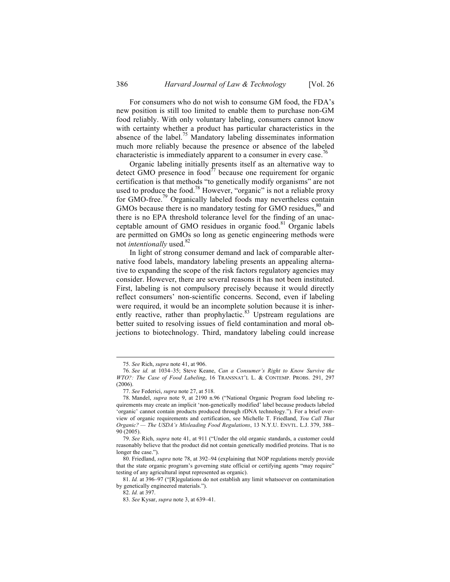For consumers who do not wish to consume GM food, the FDA's new position is still too limited to enable them to purchase non-GM food reliably. With only voluntary labeling, consumers cannot know with certainty whether a product has particular characteristics in the absence of the label.<sup>75</sup> Mandatory labeling disseminates information much more reliably because the presence or absence of the labeled characteristic is immediately apparent to a consumer in every case.<sup>76</sup>

Organic labeling initially presents itself as an alternative way to detect GMO presence in food<sup> $77$ </sup> because one requirement for organic certification is that methods "to genetically modify organisms" are not used to produce the food.<sup>78</sup> However, "organic" is not a reliable proxy for GMO-free.<sup>79</sup> Organically labeled foods may nevertheless contain GMOs because there is no mandatory testing for GMO residues,<sup>80</sup> and there is no EPA threshold tolerance level for the finding of an unacceptable amount of GMO residues in organic food.<sup>81</sup> Organic labels are permitted on GMOs so long as genetic engineering methods were not *intentionally* used.<sup>82</sup>

In light of strong consumer demand and lack of comparable alternative food labels, mandatory labeling presents an appealing alternative to expanding the scope of the risk factors regulatory agencies may consider. However, there are several reasons it has not been instituted. First, labeling is not compulsory precisely because it would directly reflect consumers' non-scientific concerns. Second, even if labeling were required, it would be an incomplete solution because it is inherently reactive, rather than prophylactic.<sup>83</sup> Upstream regulations are better suited to resolving issues of field contamination and moral objections to biotechnology. Third, mandatory labeling could increase

 <sup>75.</sup> *See* Rich, *supra* note 41, at 906.

<sup>76.</sup> *See id.* at 1034–35; Steve Keane, *Can a Consumer's Right to Know Survive the WTO?: The Case of Food Labeling*, 16 TRANSNAT'L L. & CONTEMP. PROBS. 291, 297 (2006).

<sup>77.</sup> *See* Federici, *supra* note 27, at 518.

<sup>78.</sup> Mandel, *supra* note 9, at 2190 n.96 ("National Organic Program food labeling requirements may create an implicit 'non-genetically modified' label because products labeled 'organic' cannot contain products produced through rDNA technology."). For a brief overview of organic requirements and certification, see Michelle T. Friedland, *You Call That Organic? — The USDA's Misleading Food Regulations*, 13 N.Y.U. ENVTL. L.J. 379, 388– 90 (2005).

<sup>79.</sup> *See* Rich, *supra* note 41, at 911 ("Under the old organic standards, a customer could reasonably believe that the product did not contain genetically modified proteins. That is no longer the case.").

<sup>80.</sup> Friedland, *supra* note 78, at 392–94 (explaining that NOP regulations merely provide that the state organic program's governing state official or certifying agents "may require" testing of any agricultural input represented as organic).

<sup>81.</sup> *Id.* at 396–97 ("[R]egulations do not establish any limit whatsoever on contamination by genetically engineered materials.").

<sup>82.</sup> *Id.* at 397.

<sup>83.</sup> *See* Kysar, *supra* note 3, at 639–41.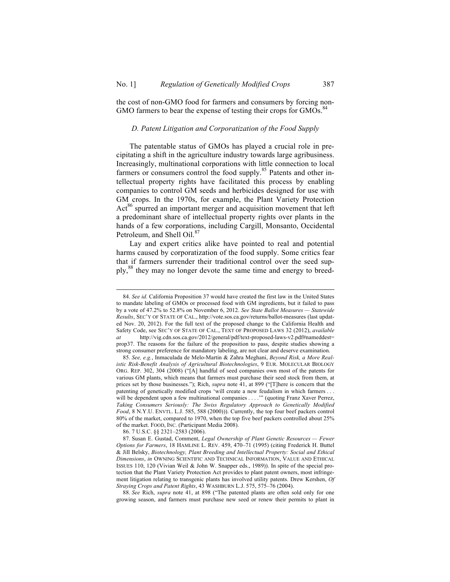the cost of non-GMO food for farmers and consumers by forcing non-GMO farmers to bear the expense of testing their crops for GMOs.<sup>84</sup>

#### *D. Patent Litigation and Corporatization of the Food Supply*

The patentable status of GMOs has played a crucial role in precipitating a shift in the agriculture industry towards large agribusiness. Increasingly, multinational corporations with little connection to local farmers or consumers control the food supply.<sup>85</sup> Patents and other intellectual property rights have facilitated this process by enabling companies to control GM seeds and herbicides designed for use with GM crops. In the 1970s, for example, the Plant Variety Protection Act<sup>86</sup> spurred an important merger and acquisition movement that left a predominant share of intellectual property rights over plants in the hands of a few corporations, including Cargill, Monsanto, Occidental Petroleum, and Shell Oil.<sup>87</sup>

Lay and expert critics alike have pointed to real and potential harms caused by corporatization of the food supply. Some critics fear that if farmers surrender their traditional control over the seed supply,<sup>88</sup> they may no longer devote the same time and energy to breed-

86. 7 U.S.C. §§ 2321–2583 (2006).

88. *See* Rich, *supra* note 41, at 898 ("The patented plants are often sold only for one growing season, and farmers must purchase new seed or renew their permits to plant in

 <sup>84.</sup> *See id.* California Proposition 37 would have created the first law in the United States to mandate labeling of GMOs or processed food with GM ingredients, but it failed to pass by a vote of 47.2% to 52.8% on November 6, 2012. *See State Ballot Measures — Statewide Results*, SEC'Y OF STATE OF CAL., http://vote.sos.ca.gov/returns/ballot-measures (last updated Nov. 20, 2012). For the full text of the proposed change to the California Health and Safety Code, see SEC'Y OF STATE OF CAL., TEXT OF PROPOSED LAWS 32 (2012), *available at* http://vig.cdn.sos.ca.gov/2012/general/pdf/text-proposed-laws-v2.pdf#nameddest= prop37. The reasons for the failure of the proposition to pass, despite studies showing a strong consumer preference for mandatory labeling, are not clear and deserve examination.

<sup>85.</sup> *See, e.g.*, Inmaculada de Melo-Martin & Zahra Meghani, *Beyond Risk, a More Realistic Risk-Benefit Analysis of Agricultural Biotechnologies*, 9 EUR. MOLECULAR BIOLOGY ORG. REP. 302, 304 (2008) ("[A] handful of seed companies own most of the patents for various GM plants, which means that farmers must purchase their seed stock from them, at prices set by those businesses."); Rich, *supra* note 41, at 899 ("[T]here is concern that the patenting of genetically modified crops 'will create a new feudalism in which farmers . . . will be dependent upon a few multinational companies . . . ." (quoting Franz Xaver Perrez, *Taking Consumers Seriously: The Swiss Regulatory Approach to Genetically Modified Food*, 8 N.Y.U. ENVTL. L.J. 585, 588 (2000))). Currently, the top four beef packers control 80% of the market, compared to 1970, when the top five beef packers controlled about 25% of the market. FOOD, INC. (Participant Media 2008).

<sup>87.</sup> Susan E. Gustad, Comment, *Legal Ownership of Plant Genetic Resources — Fewer Options for Farmers*, 18 HAMLINE L. REV. 459, 470–71 (1995) (citing Frederick H. Buttel & Jill Belsky, *Biotechnology, Plant Breeding and Intellectual Property: Social and Ethical Dimensions*, *in* OWNING SCIENTIFIC AND TECHNICAL INFORMATION, VALUE AND ETHICAL ISSUES 110, 120 (Vivian Weil & John W. Snapper eds., 1989)). In spite of the special protection that the Plant Variety Protection Act provides to plant patent owners, most infringement litigation relating to transgenic plants has involved utility patents. Drew Kershen, *Of Straying Crops and Patent Rights*, 43 WASHBURN L.J. 575, 575–76 (2004).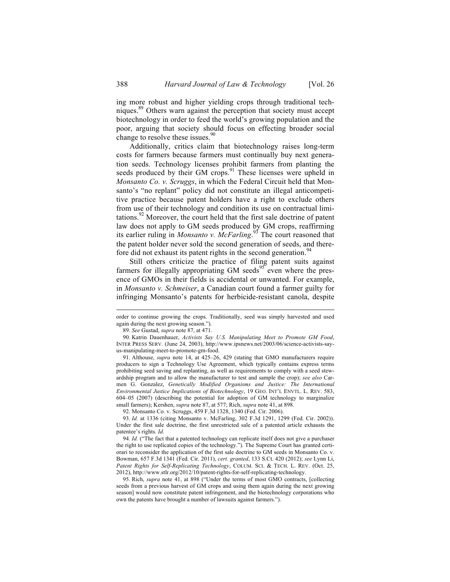ing more robust and higher yielding crops through traditional techniques.<sup>89</sup> Others warn against the perception that society must accept biotechnology in order to feed the world's growing population and the poor, arguing that society should focus on effecting broader social change to resolve these issues. $\frac{90}{2}$ 

Additionally, critics claim that biotechnology raises long-term costs for farmers because farmers must continually buy next generation seeds. Technology licenses prohibit farmers from planting the seeds produced by their GM crops.<sup>91</sup> These licenses were upheld in *Monsanto Co. v. Scruggs*, in which the Federal Circuit held that Monsanto's "no replant" policy did not constitute an illegal anticompetitive practice because patent holders have a right to exclude others from use of their technology and condition its use on contractual limitations.<sup>92</sup> Moreover, the court held that the first sale doctrine of patent law does not apply to GM seeds produced by GM crops, reaffirming its earlier ruling in *Monsanto v. McFarling*. <sup>93</sup> The court reasoned that the patent holder never sold the second generation of seeds, and therefore did not exhaust its patent rights in the second generation.<sup>94</sup>

Still others criticize the practice of filing patent suits against farmers for illegally appropriating GM seeds<sup>95</sup> even where the presence of GMOs in their fields is accidental or unwanted. For example, in *Monsanto v. Schmeiser*, a Canadian court found a farmer guilty for infringing Monsanto's patents for herbicide-resistant canola, despite

order to continue growing the crops. Traditionally, seed was simply harvested and used again during the next growing season.").

<sup>89.</sup> *See* Gustad, *supra* note 87, at 471.

<sup>90.</sup> Katrin Dauenhauer, *Activists Say U.S. Manipulating Meet to Promote GM Food*, INTER PRESS SERV. (June 24, 2003), http://www.ipsnews.net/2003/06/science-activists-sayus-manipulating-meet-to-promote-gm-food.

<sup>91.</sup> Althouse, *supra* note 14, at 425–26, 429 (stating that GMO manufacturers require producers to sign a Technology Use Agreement, which typically contains express terms prohibiting seed saving and replanting, as well as requirements to comply with a seed stewardship program and to allow the manufacturer to test and sample the crop); *see also* Carmen G. Gonzalez, *Genetically Modified Organisms and Justice: The International Environmental Justice Implications of Biotechnology*, 19 GEO. INT'L ENVTL. L. REV. 583, 604–05 (2007) (describing the potential for adoption of GM technology to marginalize small farmers); Kershen, *supra* note 87, at 577; Rich, *supra* note 41, at 898.

<sup>92.</sup> Monsanto Co. v. Scruggs, 459 F.3d 1328, 1340 (Fed. Cir. 2006).

<sup>93.</sup> *Id.* at 1336 (citing Monsanto v. McFarling, 302 F.3d 1291, 1299 (Fed. Cir. 2002)). Under the first sale doctrine, the first unrestricted sale of a patented article exhausts the patentee's rights. *Id.*

<sup>94.</sup> *Id.* ("The fact that a patented technology can replicate itself does not give a purchaser the right to use replicated copies of the technology."). The Supreme Court has granted certiorari to reconsider the application of the first sale doctrine to GM seeds in Monsanto Co. v. Bowman, 657 F.3d 1341 (Fed. Cir. 2011), *cert. granted*, 133 S.Ct. 420 (2012); *see* Lynn Li, *Patent Rights for Self-Replicating Technology*, COLUM. SCI. & TECH. L. REV. (Oct. 25, 2012), http://www.stlr.org/2012/10/patent-rights-for-self-replicating-technology.

<sup>95.</sup> Rich, *supra* note 41, at 898 ("Under the terms of most GMO contracts, [collecting seeds from a previous harvest of GM crops and using them again during the next growing season] would now constitute patent infringement, and the biotechnology corporations who own the patents have brought a number of lawsuits against farmers.").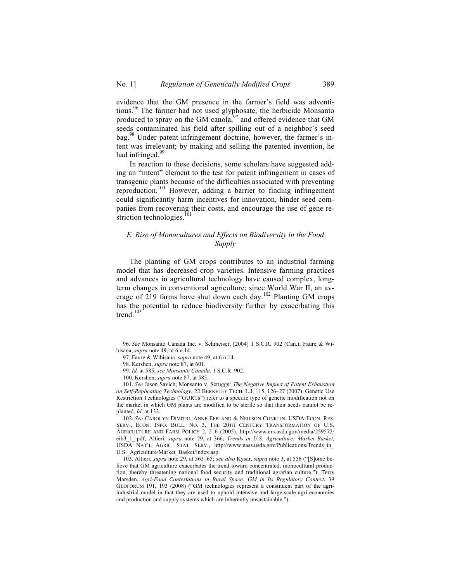evidence that the GM presence in the farmer's field was adventitious.<sup>96</sup> The farmer had not used glyphosate, the herbicide Monsanto produced to spray on the GM canola, $^{97}$  and offered evidence that GM seeds contaminated his field after spilling out of a neighbor's seed bag.<sup>98</sup> Under patent infringement doctrine, however, the farmer's intent was irrelevant; by making and selling the patented invention, he had infringed. $99$ 

In reaction to these decisions, some scholars have suggested adding an "intent" element to the test for patent infringement in cases of transgenic plants because of the difficulties associated with preventing reproduction.100 However, adding a barrier to finding infringement could significantly harm incentives for innovation, hinder seed companies from recovering their costs, and encourage the use of gene restriction technologies.<sup>101</sup>

## *E. Rise of Monocultures and Effects on Biodiversity in the Food Supply*

The planting of GM crops contributes to an industrial farming model that has decreased crop varieties. Intensive farming practices and advances in agricultural technology have caused complex, longterm changes in conventional agriculture; since World War II, an average of 219 farms have shut down each day.<sup>102</sup> Planting GM crops has the potential to reduce biodiversity further by exacerbating this trend.<sup>103</sup>

102. *See* CAROLYN DIMITRI, ANNE EFFLAND & NEILSON CONKLIN, USDA ECON. RES. SERV., ECON. INFO. BULL. NO. 3, THE 20TH CENTURY TRANSFORMATION OF U.S. AGRICULTURE AND FARM POLICY 2, 2–6 (2005), http://www.ers.usda.gov/media/259572/ eib3\_1\_.pdf; Altieri, *supra* note 29, at 366; *Trends in U.S. Agriculture: Market Basket*, USDA NAT'L AGRIC. STAT. SERV., http://www.nass.usda.gov/Publications/Trends\_in\_ U.S. Agriculture/Market Basket/index.asp.

103. Altieri, *supra* note 29, at 363–65; *see also* Kysar, *supra* note 3, at 556 ("[S]ome believe that GM agriculture exacerbates the trend toward concentrated, monocultural production, thereby threatening national food security and traditional agrarian culture."); Terry Marsden, *Agri-Food Contestations in Rural Space: GM in Its Regulatory Context*, 39 GEOFORUM 191, 193 (2008) ("GM technologies represent a constituent part of the agriindustrial model in that they are used to uphold intensive and large-scale agri-economies and production and supply systems which are inherently unsustainable.").

 <sup>96.</sup> *See* Monsanto Canada Inc. v. Schmeiser, [2004] 1 S.C.R. 902 (Can.); Faure & Wibisana, *supra* note 49, at 6 n.14.

<sup>97.</sup> Faure & Wibisana, *supra* note 49, at 6 n.14.

<sup>98.</sup> Kershen, *supra* note 87, at 601.

<sup>99.</sup> *Id.* at 585; *see Monsanto Canada*, 1 S.C.R. 902.

<sup>100.</sup> Kershen, *supra* note 87, at 585.

<sup>101.</sup> *See* Jason Savich, Monsanto v. Scruggs*: The Negative Impact of Patent Exhaustion on Self-Replicating Technology*, 22 BERKELEY TECH. L.J. 115, 126–27 (2007). Genetic Use Restriction Technologies ("GURTs") refer to a specific type of genetic modification not on the market in which GM plants are modified to be sterile so that their seeds cannot be replanted. *Id.* at 132.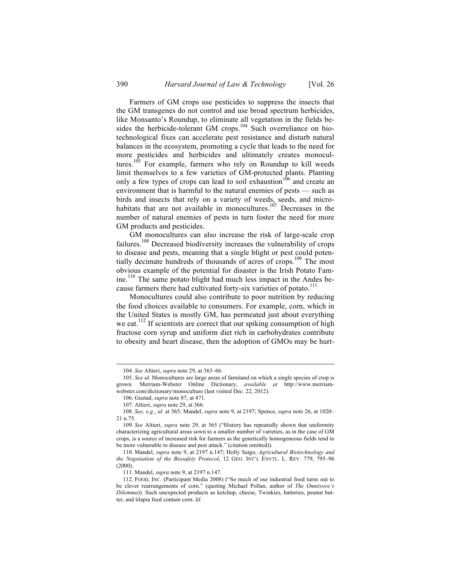Farmers of GM crops use pesticides to suppress the insects that the GM transgenes do not control and use broad spectrum herbicides, like Monsanto's Roundup, to eliminate all vegetation in the fields besides the herbicide-tolerant GM crops.<sup>104</sup> Such overreliance on biotechnological fixes can accelerate pest resistance and disturb natural balances in the ecosystem, promoting a cycle that leads to the need for more pesticides and herbicides and ultimately creates monocultures.<sup>105</sup> For example, farmers who rely on Roundup to kill weeds limit themselves to a few varieties of GM-protected plants. Planting only a few types of crops can lead to soil exhaustion<sup>106</sup> and create an environment that is harmful to the natural enemies of pests — such as birds and insects that rely on a variety of weeds, seeds, and microhabitats that are not available in monocultures.<sup>107</sup> Decreases in the number of natural enemies of pests in turn foster the need for more GM products and pesticides.

GM monocultures can also increase the risk of large-scale crop failures.<sup>108</sup> Decreased biodiversity increases the vulnerability of crops to disease and pests, meaning that a single blight or pest could potentially decimate hundreds of thousands of acres of crops.<sup>109</sup> The most obvious example of the potential for disaster is the Irish Potato Famine.110 The same potato blight had much less impact in the Andes because farmers there had cultivated forty-six varieties of potato.<sup>111</sup>

Monocultures could also contribute to poor nutrition by reducing the food choices available to consumers. For example, corn, which in the United States is mostly GM, has permeated just about everything we eat.<sup>112</sup> If scientists are correct that our spiking consumption of high fructose corn syrup and uniform diet rich in carbohydrates contribute to obesity and heart disease, then the adoption of GMOs may be hurt-

 <sup>104.</sup> *See* Altieri, *supra* note 29, at 363–66.

<sup>105.</sup> *See id.* Monocultures are large areas of farmland on which a single species of crop is grown. Merriam-Webster Online Dictionary, *available at* http://www.merriamwebster.com/dictionary/monoculture (last visited Dec. 22, 2012).

<sup>106.</sup> Gustad, *supra* note 87, at 471.

<sup>107.</sup> Altieri, *supra* note 29, at 366.

<sup>108.</sup> *See, e.g.*, *id.* at 365; Mandel, *supra* note 9, at 2197; Spence, *supra* note 26, at 1020– 21 n.75.

<sup>109.</sup> *See* Altieri, *supra* note 29, at 365 ("History has repeatedly shown that uniformity characterizing agricultural areas sown to a smaller number of varieties, as in the case of GM crops, is a source of increased risk for farmers as the genetically homogeneous fields tend to be more vulnerable to disease and pest attack." (citation omitted)).

<sup>110.</sup> Mandel, *supra* note 9, at 2197 n.147; Holly Saigo, *Agricultural Biotechnology and the Negotiation of the Biosafety Protocol*, 12 GEO. INT'L ENVTL. L. REV. 779, 795–96 (2000).

<sup>111.</sup> Mandel, *supra* note 9, at 2197 n.147.

<sup>112.</sup> FOOD, INC. (Participant Media 2008) ("So much of our industrial food turns out to be clever rearrangements of corn." (quoting Michael Pollan, author of *The Omnivore's Dilemma*)). Such unexpected products as ketchup, cheese, Twinkies, batteries, peanut butter, and tilapia feed contain corn. *Id.*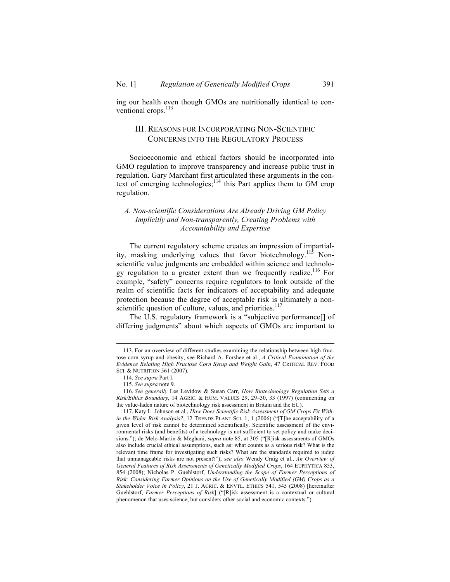ing our health even though GMOs are nutritionally identical to conventional crops.<sup>113</sup>

# III. REASONS FOR INCORPORATING NON-SCIENTIFIC CONCERNS INTO THE REGULATORY PROCESS

Socioeconomic and ethical factors should be incorporated into GMO regulation to improve transparency and increase public trust in regulation. Gary Marchant first articulated these arguments in the context of emerging technologies; $114$  this Part applies them to GM crop regulation.

## *A. Non-scientific Considerations Are Already Driving GM Policy Implicitly and Non-transparently, Creating Problems with Accountability and Expertise*

The current regulatory scheme creates an impression of impartiality, masking underlying values that favor biotechnology.<sup>115</sup> Nonscientific value judgments are embedded within science and technology regulation to a greater extent than we frequently realize.<sup>116</sup> For example, "safety" concerns require regulators to look outside of the realm of scientific facts for indicators of acceptability and adequate protection because the degree of acceptable risk is ultimately a nonscientific question of culture, values, and priorities.<sup>117</sup>

The U.S. regulatory framework is a "subjective performance[] of differing judgments" about which aspects of GMOs are important to

 <sup>113.</sup> For an overview of different studies examining the relationship between high fructose corn syrup and obesity, see Richard A. Forshee et al., *A Critical Examination of the Evidence Relating High Fructose Corn Syrup and Weight Gain*, 47 CRITICAL REV. FOOD SCI. & NUTRITION 561 (2007).

<sup>114.</sup> *See supra* Part I.

<sup>115.</sup> *See supra* note 9.

<sup>116.</sup> *See generally* Les Levidow & Susan Carr, *How Biotechnology Regulation Sets a Risk/Ethics Boundary*, 14 AGRIC. & HUM. VALUES 29, 29–30, 33 (1997) (commenting on the value-laden nature of biotechnology risk assessment in Britain and the EU).

<sup>117.</sup> Katy L. Johnson et al., *How Does Scientific Risk Assessment of GM Crops Fit Within the Wider Risk Analysis?*, 12 TRENDS PLANT SCI. 1, 1 (2006) ("[T]he acceptability of a given level of risk cannot be determined scientifically. Scientific assessment of the environmental risks (and benefits) of a technology is not sufficient to set policy and make decisions."); de Melo-Martin & Meghani, *supra* note 85, at 305 ("[R]isk assessments of GMOs also include crucial ethical assumptions, such as: what counts as a serious risk? What is the relevant time frame for investigating such risks? What are the standards required to judge that unmanageable risks are not present?"); *see also* Wendy Craig et al., *An Overview of General Features of Risk Assessments of Genetically Modified Crops*, 164 EUPHYTICA 853, 854 (2008); Nicholas P. Guehlstorf, *Understanding the Scope of Farmer Perceptions of Risk: Considering Farmer Opinions on the Use of Genetically Modified (GM) Crops as a Stakeholder Voice in Policy*, 21 J. AGRIC. & ENVTL. ETHICS 541, 545 (2008) [hereinafter Guehlstorf, *Farmer Perceptions of Risk*] ("[R]isk assessment is a contextual or cultural phenomenon that uses science, but considers other social and economic contexts.").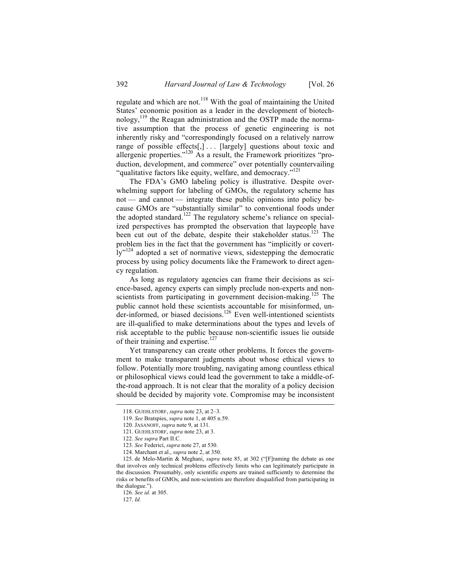regulate and which are not.<sup>118</sup> With the goal of maintaining the United States' economic position as a leader in the development of biotechnology,  $119$  the Reagan administration and the OSTP made the normative assumption that the process of genetic engineering is not inherently risky and "correspondingly focused on a relatively narrow range of possible effects[,]... [largely] questions about toxic and allergenic properties."<sup>120</sup> As a result, the Framework prioritizes "production, development, and commerce" over potentially countervailing "qualitative factors like equity, welfare, and democracy."<sup>121</sup>

The FDA's GMO labeling policy is illustrative. Despite overwhelming support for labeling of GMOs, the regulatory scheme has not — and cannot — integrate these public opinions into policy because GMOs are "substantially similar" to conventional foods under the adopted standard.<sup>122</sup> The regulatory scheme's reliance on specialized perspectives has prompted the observation that laypeople have been cut out of the debate, despite their stakeholder status.<sup>123</sup> The problem lies in the fact that the government has "implicitly or covertly"<sup>124</sup> adopted a set of normative views, sidestepping the democratic process by using policy documents like the Framework to direct agency regulation.

As long as regulatory agencies can frame their decisions as science-based, agency experts can simply preclude non-experts and nonscientists from participating in government decision-making.<sup>125</sup> The public cannot hold these scientists accountable for misinformed, under-informed, or biased decisions.<sup>126</sup> Even well-intentioned scientists are ill-qualified to make determinations about the types and levels of risk acceptable to the public because non-scientific issues lie outside of their training and expertise.<sup>127</sup>

Yet transparency can create other problems. It forces the government to make transparent judgments about whose ethical views to follow. Potentially more troubling, navigating among countless ethical or philosophical views could lead the government to take a middle-ofthe-road approach. It is not clear that the morality of a policy decision should be decided by majority vote. Compromise may be inconsistent

 <sup>118.</sup> GUEHLSTORF, *supra* note 23, at 2–3.

<sup>119.</sup> *See* Bratspies, *supra* note 1, at 405 n.59.

<sup>120.</sup> JASANOFF, *supra* note 9, at 131.

<sup>121.</sup> GUEHLSTORF, *supra* note 23, at 3.

<sup>122.</sup> *See supra* Part II.C.

<sup>123.</sup> *See* Federici, *supra* note 27, at 530.

<sup>124.</sup> Marchant et al., *supra* note 2, at 350.

<sup>125.</sup> de Melo-Martin & Meghani, *supra* note 85, at 302 ("[F]raming the debate as one that involves only technical problems effectively limits who can legitimately participate in the discussion. Presumably, only scientific experts are trained sufficiently to determine the risks or benefits of GMOs, and non-scientists are therefore disqualified from participating in the dialogue.").

<sup>126.</sup> *See id.* at 305.

<sup>127.</sup> *Id.*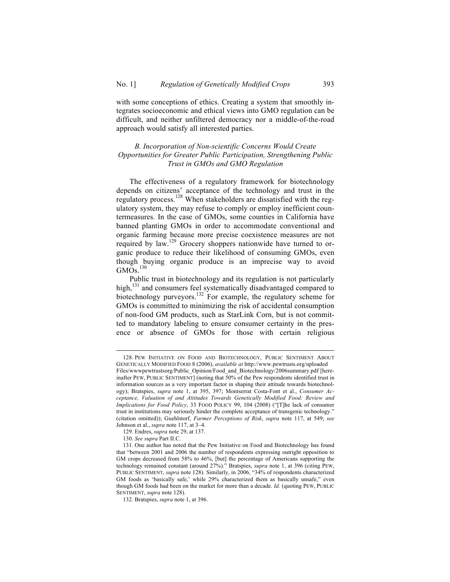with some conceptions of ethics. Creating a system that smoothly integrates socioeconomic and ethical views into GMO regulation can be difficult, and neither unfiltered democracy nor a middle-of-the-road approach would satisfy all interested parties.

## *B. Incorporation of Non-scientific Concerns Would Create Opportunities for Greater Public Participation, Strengthening Public Trust in GMOs and GMO Regulation*

The effectiveness of a regulatory framework for biotechnology depends on citizens' acceptance of the technology and trust in the regulatory process.<sup>128</sup> When stakeholders are dissatisfied with the regulatory system, they may refuse to comply or employ inefficient countermeasures. In the case of GMOs, some counties in California have banned planting GMOs in order to accommodate conventional and organic farming because more precise coexistence measures are not required by law.<sup>129</sup> Grocery shoppers nationwide have turned to organic produce to reduce their likelihood of consuming GMOs, even though buying organic produce is an imprecise way to avoid  $GM\tilde{O}s.$ <sup>130</sup>

Public trust in biotechnology and its regulation is not particularly high,<sup>131</sup> and consumers feel systematically disadvantaged compared to biotechnology purveyors.<sup>132</sup> For example, the regulatory scheme for GMOs is committed to minimizing the risk of accidental consumption of non-food GM products, such as StarLink Corn, but is not committed to mandatory labeling to ensure consumer certainty in the presence or absence of GMOs for those with certain religious

 <sup>128.</sup> PEW INITIATIVE ON FOOD AND BIOTECHNOLOGY, PUBLIC SENTIMENT ABOUT GENETICALLY MODIFIED FOOD 8 (2006), *available at* http://www.pewtrusts.org/uploaded Files/wwwpewtrustsorg/Public\_Opinion/Food\_and\_Biotechnology/2006summary.pdf [hereinafter PEW, PUBLIC SENTIMENT] (noting that 50% of the Pew respondents identified trust in information sources as a very important factor in shaping their attitude towards biotechnol-

ogy); Bratspies, *supra* note 1, at 395, 397; Montserrat Costa-Font et al., *Consumer Acceptance, Valuation of and Attitudes Towards Genetically Modified Food: Review and Implications for Food Policy*, 33 FOOD POLICY 99, 104 (2008) ("[T]he lack of consumer trust in institutions may seriously hinder the complete acceptance of transgenic technology." (citation omitted)); Guehlstorf, *Farmer Perceptions of Risk*, *supra* note 117, at 549; *see* Johnson et al., *supra* note 117, at 3–4.

<sup>129.</sup> Endres, *supra* note 29, at 137.

<sup>130.</sup> *See supra* Part II.C.

<sup>131.</sup> One author has noted that the Pew Initiative on Food and Biotechnology has found that "between 2001 and 2006 the number of respondents expressing outright opposition to GM crops decreased from 58% to 46%, [but] the percentage of Americans supporting the technology remained constant (around 27%)." Bratspies, *supra* note 1, at 396 (citing PEW, PUBLIC SENTIMENT, *supra* note 128). Similarly, in 2006, "34% of respondents characterized GM foods as 'basically safe,' while 29% characterized them as basically unsafe," even though GM foods had been on the market for more than a decade. *Id.* (quoting PEW, PUBLIC SENTIMENT, *supra* note 128).

<sup>132.</sup> Bratspies, *supra* note 1, at 396.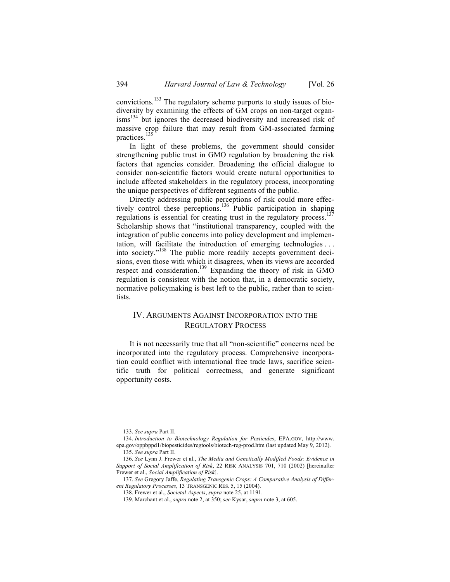convictions.<sup>133</sup> The regulatory scheme purports to study issues of biodiversity by examining the effects of GM crops on non-target organisms<sup>134</sup> but ignores the decreased biodiversity and increased risk of massive crop failure that may result from GM-associated farming practices.<sup>135</sup>

In light of these problems, the government should consider strengthening public trust in GMO regulation by broadening the risk factors that agencies consider. Broadening the official dialogue to consider non-scientific factors would create natural opportunities to include affected stakeholders in the regulatory process, incorporating the unique perspectives of different segments of the public.

Directly addressing public perceptions of risk could more effectively control these perceptions.<sup>136</sup> Public participation in shaping regulations is essential for creating trust in the regulatory process.<sup>137</sup> Scholarship shows that "institutional transparency, coupled with the integration of public concerns into policy development and implementation, will facilitate the introduction of emerging technologies . . . into society."<sup>138</sup> The public more readily accepts government decisions, even those with which it disagrees, when its views are accorded respect and consideration.<sup>139</sup> Expanding the theory of risk in GMO regulation is consistent with the notion that, in a democratic society, normative policymaking is best left to the public, rather than to scientists.

# IV. ARGUMENTS AGAINST INCORPORATION INTO THE REGULATORY PROCESS

It is not necessarily true that all "non-scientific" concerns need be incorporated into the regulatory process. Comprehensive incorporation could conflict with international free trade laws, sacrifice scientific truth for political correctness, and generate significant opportunity costs.

 <sup>133.</sup> *See supra* Part II.

<sup>134.</sup> *Introduction to Biotechnology Regulation for Pesticides*, EPA.GOV, http://www. epa.gov/oppbppd1/biopesticides/regtools/biotech-reg-prod.htm (last updated May 9, 2012). 135. *See supra* Part II.

<sup>136.</sup> *See* Lynn J. Frewer et al., *The Media and Genetically Modified Foods: Evidence in Support of Social Amplification of Risk*, 22 RISK ANALYSIS 701, 710 (2002) [hereinafter Frewer et al., *Social Amplification of Risk*].

<sup>137.</sup> *See* Gregory Jaffe, *Regulating Transgenic Crops: A Comparative Analysis of Different Regulatory Processes*, 13 TRANSGENIC RES. 5, 15 (2004).

<sup>138.</sup> Frewer et al., *Societal Aspects*, *supra* note 25, at 1191.

<sup>139.</sup> Marchant et al., *supra* note 2, at 350; *see* Kysar, *supra* note 3, at 605.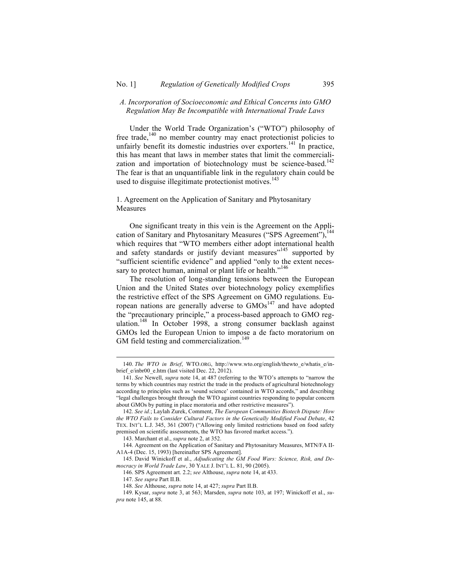### *A. Incorporation of Socioeconomic and Ethical Concerns into GMO Regulation May Be Incompatible with International Trade Laws*

Under the World Trade Organization's ("WTO") philosophy of free trade,<sup>140</sup> no member country may enact protectionist policies to unfairly benefit its domestic industries over exporters.<sup>141</sup> In practice, this has meant that laws in member states that limit the commercialization and importation of biotechnology must be science-based.<sup>142</sup> The fear is that an unquantifiable link in the regulatory chain could be used to disguise illegitimate protectionist motives.<sup>143</sup>

## 1. Agreement on the Application of Sanitary and Phytosanitary Measures

One significant treaty in this vein is the Agreement on the Application of Sanitary and Phytosanitary Measures ("SPS Agreement"),<sup>144</sup> which requires that "WTO members either adopt international health and safety standards or justify deviant measures"<sup>145</sup> supported by "sufficient scientific evidence" and applied "only to the extent necessary to protect human, animal or plant life or health."<sup>146</sup>

The resolution of long-standing tensions between the European Union and the United States over biotechnology policy exemplifies the restrictive effect of the SPS Agreement on GMO regulations. European nations are generally adverse to  $\text{GMOs}^{147}$  and have adopted the "precautionary principle," a process-based approach to GMO regulation.<sup>148</sup> In October 1998, a strong consumer backlash against GMOs led the European Union to impose a de facto moratorium on GM field testing and commercialization.<sup>149</sup>

 <sup>140.</sup> *The WTO in Brief*, WTO.ORG, http://www.wto.org/english/thewto\_e/whatis\_e/inbrief  $e/inb$ r00  $e.htm$  (last visited Dec. 22, 2012).

<sup>141.</sup> *See* Newell, *supra* note 14, at 487 (referring to the WTO's attempts to "narrow the terms by which countries may restrict the trade in the products of agricultural biotechnology according to principles such as 'sound science' contained in WTO accords," and describing "legal challenges brought through the WTO against countries responding to popular concern about GMOs by putting in place moratoria and other restrictive measures").

<sup>142.</sup> *See id.*; Laylah Zurek, Comment, *The European Communities Biotech Dispute: How the WTO Fails to Consider Cultural Factors in the Genetically Modified Food Debate*, 42 TEX. INT'L L.J. 345, 361 (2007) ("Allowing only limited restrictions based on food safety premised on scientific assessments, the WTO has favored market access.").

<sup>143.</sup> Marchant et al., *supra* note 2, at 352.

<sup>144.</sup> Agreement on the Application of Sanitary and Phytosanitary Measures, MTN/FA II-A1A-4 (Dec. 15, 1993) [hereinafter SPS Agreement].

<sup>145.</sup> David Winickoff et al., *Adjudicating the GM Food Wars: Science, Risk, and Democracy in World Trade Law*, 30 YALE J. INT'L L. 81, 90 (2005).

<sup>146.</sup> SPS Agreement art. 2.2; *see* Althouse, *supra* note 14, at 433.

<sup>147.</sup> *See supra* Part II.B.

<sup>148.</sup> *See* Althouse, *supra* note 14, at 427; *supra* Part II.B.

<sup>149.</sup> Kysar, *supra* note 3, at 563; Marsden, *supra* note 103, at 197; Winickoff et al., *supra* note 145, at 88.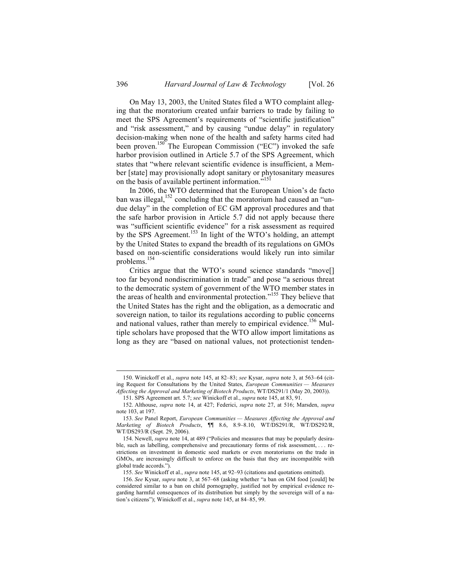On May 13, 2003, the United States filed a WTO complaint alleging that the moratorium created unfair barriers to trade by failing to meet the SPS Agreement's requirements of "scientific justification" and "risk assessment," and by causing "undue delay" in regulatory decision-making when none of the health and safety harms cited had been proven.<sup>150</sup> The European Commission ("EC") invoked the safe harbor provision outlined in Article 5.7 of the SPS Agreement, which states that "where relevant scientific evidence is insufficient, a Member [state] may provisionally adopt sanitary or phytosanitary measures on the basis of available pertinent information."<sup>151</sup>

In 2006, the WTO determined that the European Union's de facto ban was illegal,  $152$  concluding that the moratorium had caused an "undue delay" in the completion of EC GM approval procedures and that the safe harbor provision in Article 5.7 did not apply because there was "sufficient scientific evidence" for a risk assessment as required by the SPS Agreement.<sup>153</sup> In light of the WTO's holding, an attempt by the United States to expand the breadth of its regulations on GMOs based on non-scientific considerations would likely run into similar problems. 154

Critics argue that the WTO's sound science standards "move[] too far beyond nondiscrimination in trade" and pose "a serious threat to the democratic system of government of the WTO member states in the areas of health and environmental protection."<sup>155</sup> They believe that the United States has the right and the obligation, as a democratic and sovereign nation, to tailor its regulations according to public concerns and national values, rather than merely to empirical evidence.<sup>156</sup> Multiple scholars have proposed that the WTO allow import limitations as long as they are "based on national values, not protectionist tenden-

 <sup>150.</sup> Winickoff et al., *supra* note 145, at 82–83; *see* Kysar, *supra* note 3, at 563–64 (citing Request for Consultations by the United States, *European Communities — Measures Affecting the Approval and Marketing of Biotech Products*, WT/DS291/1 (May 20, 2003)).

<sup>151.</sup> SPS Agreement art. 5.7; *see* Winickoff et al., *supra* note 145, at 83, 91.

<sup>152.</sup> Althouse, *supra* note 14, at 427; Federici, *supra* note 27, at 516; Marsden, *supra* note 103, at 197.

<sup>153.</sup> *See* Panel Report, *European Communities — Measures Affecting the Approval and Marketing of Biotech Products*, ¶¶ 8.6, 8.9–8.10, WT/DS291/R, WT/DS292/R, WT/DS293/R (Sept. 29, 2006).

<sup>154.</sup> Newell, *supra* note 14, at 489 ("Policies and measures that may be popularly desirable, such as labelling, comprehensive and precautionary forms of risk assessment, . . . restrictions on investment in domestic seed markets or even moratoriums on the trade in GMOs, are increasingly difficult to enforce on the basis that they are incompatible with global trade accords.").

<sup>155.</sup> *See* Winickoff et al., *supra* note 145, at 92–93 (citations and quotations omitted).

<sup>156.</sup> *See* Kysar, *supra* note 3, at 567–68 (asking whether "a ban on GM food [could] be considered similar to a ban on child pornography, justified not by empirical evidence regarding harmful consequences of its distribution but simply by the sovereign will of a nation's citizens"); Winickoff et al., *supra* note 145, at 84–85, 99.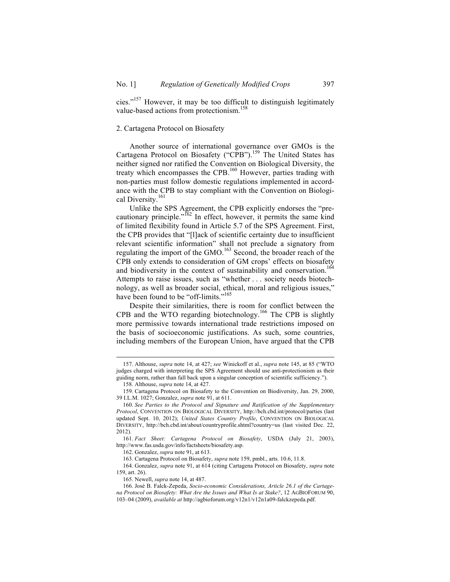cies."157 However, it may be too difficult to distinguish legitimately value-based actions from protectionism. 158

#### 2. Cartagena Protocol on Biosafety

Another source of international governance over GMOs is the Cartagena Protocol on Biosafety ("CPB").<sup>159</sup> The United States has neither signed nor ratified the Convention on Biological Diversity, the treaty which encompasses the CPB.<sup>160</sup> However, parties trading with non-parties must follow domestic regulations implemented in accordance with the CPB to stay compliant with the Convention on Biological Diversity.<sup>161</sup>

Unlike the SPS Agreement, the CPB explicitly endorses the "precautionary principle." $162$  In effect, however, it permits the same kind of limited flexibility found in Article 5.7 of the SPS Agreement. First, the CPB provides that "[l]ack of scientific certainty due to insufficient relevant scientific information" shall not preclude a signatory from regulating the import of the GMO.<sup>163</sup> Second, the broader reach of the CPB only extends to consideration of GM crops' effects on biosafety and biodiversity in the context of sustainability and conservation.<sup>164</sup> Attempts to raise issues, such as "whether . . . society needs biotechnology, as well as broader social, ethical, moral and religious issues," have been found to be "off-limits."<sup>165</sup>

Despite their similarities, there is room for conflict between the CPB and the WTO regarding biotechnology.<sup>166</sup> The CPB is slightly more permissive towards international trade restrictions imposed on the basis of socioeconomic justifications. As such, some countries, including members of the European Union, have argued that the CPB

 <sup>157.</sup> Althouse, *supra* note 14, at 427; *see* Winickoff et al., *supra* note 145, at 85 ("WTO judges charged with interpreting the SPS Agreement should use anti-protectionism as their guiding norm, rather than fall back upon a singular conception of scientific sufficiency.").

<sup>158.</sup> Althouse, *supra* note 14, at 427.

<sup>159.</sup> Cartagena Protocol on Biosafety to the Convention on Biodiversity, Jan. 29, 2000, 39 I.L.M. 1027; Gonzalez, *supra* note 91, at 611.

<sup>160.</sup> *See Parties to the Protocol and Signature and Ratification of the Supplementary Protocol*, CONVENTION ON BIOLOGICAL DIVERSITY, http://bch.cbd.int/protocol/parties (last updated Sept. 10, 2012); *United States Country Profile*, CONVENTION ON BIOLOGICAL DIVERSITY, http://bch.cbd.int/about/countryprofile.shtml?country=us (last visited Dec. 22, 2012).

<sup>161.</sup> *Fact Sheet: Cartagena Protocol on Biosafety*, USDA (July 21, 2003), http://www.fas.usda.gov/info/factsheets/biosafety.asp.

<sup>162.</sup> Gonzalez, *supra* note 91, at 613.

<sup>163.</sup> Cartagena Protocol on Biosafety, *supra* note 159, pmbl., arts. 10.6, 11.8.

<sup>164.</sup> Gonzalez, *supra* note 91, at 614 (citing Cartagena Protocol on Biosafety, *supra* note 159, art. 26).

<sup>165.</sup> Newell, *supra* note 14, at 487.

<sup>166.</sup> José B. Falck-Zepeda, *Socio-economic Considerations, Article 26.1 of the Cartagena Protocol on Biosafety: What Are the Issues and What Is at Stake?*, 12 AGBIOFORUM 90, 103–04 (2009), *available at* http://agbioforum.org/v12n1/v12n1a09-falckzepeda.pdf.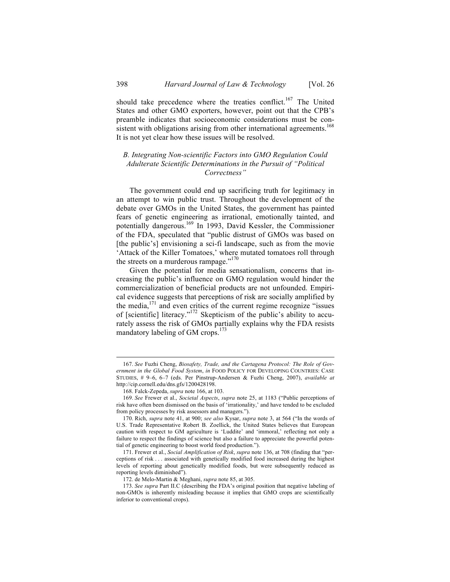should take precedence where the treaties conflict.<sup>167</sup> The United States and other GMO exporters, however, point out that the CPB's preamble indicates that socioeconomic considerations must be consistent with obligations arising from other international agreements.<sup>168</sup> It is not yet clear how these issues will be resolved.

## *B. Integrating Non-scientific Factors into GMO Regulation Could Adulterate Scientific Determinations in the Pursuit of "Political Correctness"*

The government could end up sacrificing truth for legitimacy in an attempt to win public trust. Throughout the development of the debate over GMOs in the United States, the government has painted fears of genetic engineering as irrational, emotionally tainted, and potentially dangerous.169 In 1993, David Kessler, the Commissioner of the FDA, speculated that "public distrust of GMOs was based on [the public's] envisioning a sci-fi landscape, such as from the movie 'Attack of the Killer Tomatoes,' where mutated tomatoes roll through the streets on a murderous rampage."<sup>170</sup>

Given the potential for media sensationalism, concerns that increasing the public's influence on GMO regulation would hinder the commercialization of beneficial products are not unfounded. Empirical evidence suggests that perceptions of risk are socially amplified by the media, $171$  and even critics of the current regime recognize "issues" of [scientific] literacy."172 Skepticism of the public's ability to accurately assess the risk of GMOs partially explains why the FDA resists mandatory labeling of GM crops.<sup>173</sup>

 <sup>167.</sup> *See* Fuzhi Cheng, *Biosafety, Trade, and the Cartagena Protocol: The Role of Government in the Global Food System*, *in* FOOD POLICY FOR DEVELOPING COUNTRIES: CASE STUDIES, # 9–6, 6–7 (eds. Per Pinstrup-Andersen & Fuzhi Cheng, 2007), *available at* http://cip.cornell.edu/dns.gfs/1200428198.

<sup>168.</sup> Falck-Zepeda, *supra* note 166, at 103.

<sup>169.</sup> *See* Frewer et al., *Societal Aspects*, *supra* note 25, at 1183 ("Public perceptions of risk have often been dismissed on the basis of 'irrationality,' and have tended to be excluded from policy processes by risk assessors and managers.").

<sup>170.</sup> Rich, *supra* note 41, at 900; *see also* Kysar, *supra* note 3, at 564 ("In the words of U.S. Trade Representative Robert B. Zoellick, the United States believes that European caution with respect to GM agriculture is 'Luddite' and 'immoral,' reflecting not only a failure to respect the findings of science but also a failure to appreciate the powerful potential of genetic engineering to boost world food production.").

<sup>171.</sup> Frewer et al., *Social Amplification of Risk*, *supra* note 136, at 708 (finding that "perceptions of risk . . . associated with genetically modified food increased during the highest levels of reporting about genetically modified foods, but were subsequently reduced as reporting levels diminished").

<sup>172.</sup> de Melo-Martin & Meghani, *supra* note 85, at 305.

<sup>173.</sup> *See supra* Part II.C (describing the FDA's original position that negative labeling of non-GMOs is inherently misleading because it implies that GMO crops are scientifically inferior to conventional crops).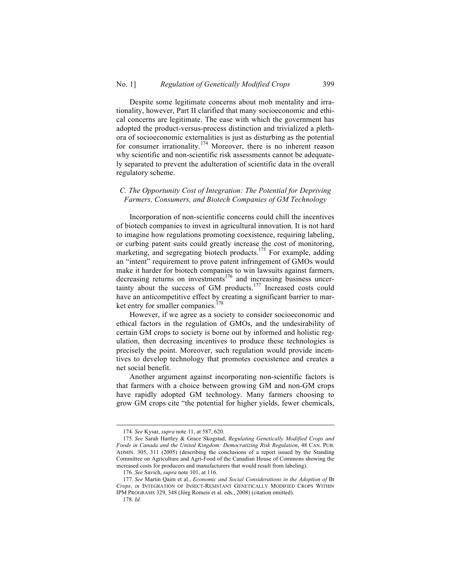Despite some legitimate concerns about mob mentality and irrationality, however, Part II clarified that many socioeconomic and ethical concerns are legitimate. The ease with which the government has adopted the product-versus-process distinction and trivialized a plethora of socioeconomic externalities is just as disturbing as the potential for consumer irrationality.<sup>174</sup> Moreover, there is no inherent reason why scientific and non-scientific risk assessments cannot be adequately separated to prevent the adulteration of scientific data in the overall regulatory scheme.

## *C. The Opportunity Cost of Integration: The Potential for Depriving Farmers, Consumers, and Biotech Companies of GM Technology*

Incorporation of non-scientific concerns could chill the incentives of biotech companies to invest in agricultural innovation. It is not hard to imagine how regulations promoting coexistence, requiring labeling, or curbing patent suits could greatly increase the cost of monitoring, marketing, and segregating biotech products.<sup>175</sup> For example, adding an "intent" requirement to prove patent infringement of GMOs would make it harder for biotech companies to win lawsuits against farmers, decreasing returns on investments<sup>176</sup> and increasing business uncertainty about the success of GM products. <sup>177</sup> Increased costs could have an anticompetitive effect by creating a significant barrier to market entry for smaller companies.<sup>178</sup>

However, if we agree as a society to consider socioeconomic and ethical factors in the regulation of GMOs, and the undesirability of certain GM crops to society is borne out by informed and holistic regulation, then decreasing incentives to produce these technologies is precisely the point. Moreover, such regulation would provide incentives to develop technology that promotes coexistence and creates a net social benefit.

Another argument against incorporating non-scientific factors is that farmers with a choice between growing GM and non-GM crops have rapidly adopted GM technology. Many farmers choosing to grow GM crops cite "the potential for higher yields, fewer chemicals,

 <sup>174.</sup> *See* Kysar, *supra* note 11, at 587, 620.

<sup>175.</sup> *See* Sarah Hartley & Grace Skogstad, *Regulating Genetically Modified Crops and Foods in Canada and the United Kingdom: Democratizing Risk Regulation*, 48 CAN. PUB. ADMIN. 305, 311 (2005) (describing the conclusions of a report issued by the Standing Committee on Agriculture and Agri-Food of the Canadian House of Commons showing the increased costs for producers and manufacturers that would result from labeling).

<sup>176.</sup> *See* Savich, *supra* note 101, at 116.

<sup>177.</sup> *See* Martin Qaim et al., *Economic and Social Considerations in the Adoption of* Bt *Crops*, *in* INTEGRATION OF INSECT-RESISTANT GENETICALLY MODIFIED CROPS WITHIN IPM PROGRAMS 329, 348 (Jörg Romeis et al. eds., 2008) (citation omitted).

<sup>178.</sup> *Id.*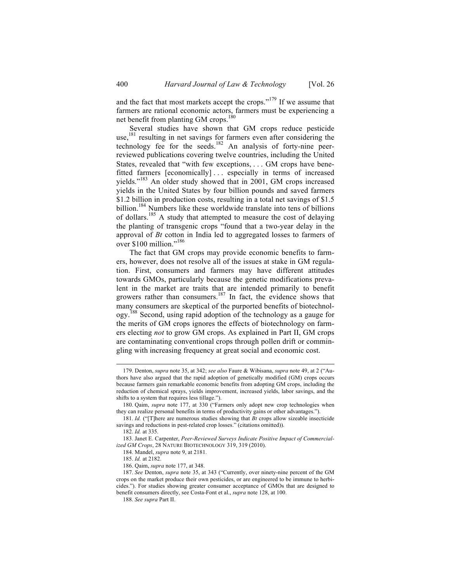and the fact that most markets accept the crops."<sup>179</sup> If we assume that farmers are rational economic actors, farmers must be experiencing a net benefit from planting GM crops.<sup>180</sup>

Several studies have shown that GM crops reduce pesticide use, <sup>181</sup> resulting in net savings for farmers even after considering the technology fee for the seeds.<sup>182</sup> An analysis of forty-nine peerreviewed publications covering twelve countries, including the United States, revealed that "with few exceptions, . . . GM crops have benefitted farmers [economically] . . . especially in terms of increased yields."<sup>183</sup> An older study showed that in 2001, GM crops increased yields in the United States by four billion pounds and saved farmers \$1.2 billion in production costs, resulting in a total net savings of \$1.5 billion.<sup>184</sup> Numbers like these worldwide translate into tens of billions of dollars.<sup>185</sup> A study that attempted to measure the cost of delaying the planting of transgenic crops "found that a two-year delay in the approval of *Bt* cotton in India led to aggregated losses to farmers of over \$100 million."<sup>186</sup>

The fact that GM crops may provide economic benefits to farmers, however, does not resolve all of the issues at stake in GM regulation. First, consumers and farmers may have different attitudes towards GMOs, particularly because the genetic modifications prevalent in the market are traits that are intended primarily to benefit growers rather than consumers.<sup>187</sup> In fact, the evidence shows that many consumers are skeptical of the purported benefits of biotechnology. <sup>188</sup> Second, using rapid adoption of the technology as a gauge for the merits of GM crops ignores the effects of biotechnology on farmers electing *not* to grow GM crops. As explained in Part II, GM crops are contaminating conventional crops through pollen drift or commingling with increasing frequency at great social and economic cost.

 <sup>179.</sup> Denton, *supra* note 35, at 342; *see also* Faure & Wibisana, *supra* note 49, at 2 ("Authors have also argued that the rapid adoption of genetically modified (GM) crops occurs because farmers gain remarkable economic benefits from adopting GM crops, including the reduction of chemical sprays, yields improvement, increased yields, labor savings, and the shifts to a system that requires less tillage.").

<sup>180.</sup> Qaim, *supra* note 177, at 330 ("Farmers only adopt new crop technologies when they can realize personal benefits in terms of productivity gains or other advantages.").

<sup>181.</sup> *Id.* ("[T]here are numerous studies showing that *Bt* crops allow sizeable insecticide savings and reductions in pest-related crop losses." (citations omitted)).

<sup>182.</sup> *Id.* at 335.

<sup>183.</sup> Janet E. Carpenter, *Peer-Reviewed Surveys Indicate Positive Impact of Commercialized GM Crops*, 28 NATURE BIOTECHNOLOGY 319, 319 (2010).

<sup>184.</sup> Mandel, *supra* note 9, at 2181.

<sup>185.</sup> *Id.* at 2182.

<sup>186.</sup> Qaim, *supra* note 177, at 348.

<sup>187.</sup> *See* Denton, *supra* note 35, at 343 ("Currently, over ninety-nine percent of the GM crops on the market produce their own pesticides, or are engineered to be immune to herbicides."). For studies showing greater consumer acceptance of GMOs that are designed to benefit consumers directly, see Costa-Font et al., *supra* note 128, at 100.

<sup>188.</sup> *See supra* Part II.